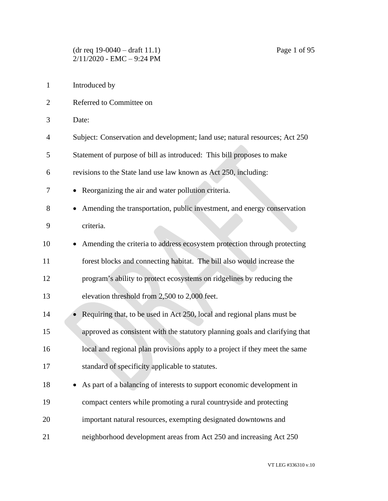Introduced by Referred to Committee on Date: Subject: Conservation and development; land use; natural resources; Act 250 Statement of purpose of bill as introduced: This bill proposes to make revisions to the State land use law known as Act 250, including: • Reorganizing the air and water pollution criteria. 8 • Amending the transportation, public investment, and energy conservation criteria. • Amending the criteria to address ecosystem protection through protecting forest blocks and connecting habitat. The bill also would increase the program's ability to protect ecosystems on ridgelines by reducing the elevation threshold from 2,500 to 2,000 feet. 14 • Requiring that, to be used in Act 250, local and regional plans must be approved as consistent with the statutory planning goals and clarifying that local and regional plan provisions apply to a project if they meet the same standard of specificity applicable to statutes. • As part of a balancing of interests to support economic development in compact centers while promoting a rural countryside and protecting important natural resources, exempting designated downtowns and neighborhood development areas from Act 250 and increasing Act 250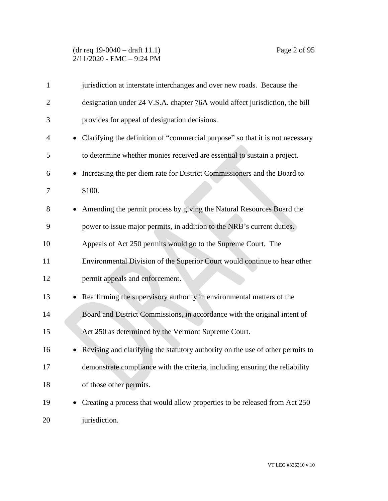## (dr req 19-0040 – draft 11.1) Page 2 of 95 2/11/2020 - EMC – 9:24 PM

| $\mathbf{1}$   | jurisdiction at interstate interchanges and over new roads. Because the            |
|----------------|------------------------------------------------------------------------------------|
| $\overline{2}$ | designation under 24 V.S.A. chapter 76A would affect jurisdiction, the bill        |
| 3              | provides for appeal of designation decisions.                                      |
| 4              | • Clarifying the definition of "commercial purpose" so that it is not necessary    |
| 5              | to determine whether monies received are essential to sustain a project.           |
| 6              | Increasing the per diem rate for District Commissioners and the Board to           |
| 7              | \$100.                                                                             |
| 8              | Amending the permit process by giving the Natural Resources Board the              |
| 9              | power to issue major permits, in addition to the NRB's current duties.             |
| 10             | Appeals of Act 250 permits would go to the Supreme Court. The                      |
| 11             | Environmental Division of the Superior Court would continue to hear other          |
| 12             | permit appeals and enforcement.                                                    |
| 13             | Reaffirming the supervisory authority in environmental matters of the<br>$\bullet$ |
| 14             | Board and District Commissions, in accordance with the original intent of          |
| 15             | Act 250 as determined by the Vermont Supreme Court.                                |
| 16             | Revising and clarifying the statutory authority on the use of other permits to     |
| 17             | demonstrate compliance with the criteria, including ensuring the reliability       |
| 18             | of those other permits.                                                            |
| 19             | Creating a process that would allow properties to be released from Act 250         |
| 20             | jurisdiction.                                                                      |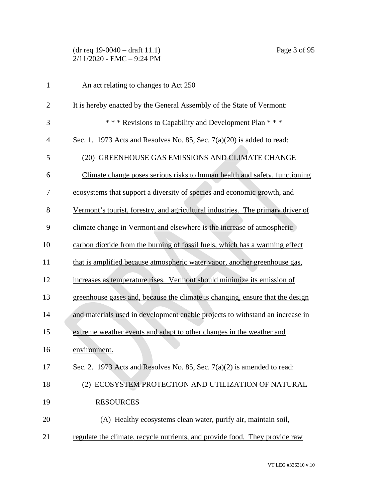# (dr req 19-0040 – draft 11.1) Page 3 of 95 2/11/2020 - EMC – 9:24 PM

| $\mathbf{1}$   | An act relating to changes to Act 250                                           |
|----------------|---------------------------------------------------------------------------------|
| $\overline{2}$ | It is hereby enacted by the General Assembly of the State of Vermont:           |
| 3              | *** Revisions to Capability and Development Plan ***                            |
| 4              | Sec. 1. 1973 Acts and Resolves No. 85, Sec. $7(a)(20)$ is added to read:        |
| 5              | (20) GREENHOUSE GAS EMISSIONS AND CLIMATE CHANGE                                |
| 6              | Climate change poses serious risks to human health and safety, functioning      |
| 7              | ecosystems that support a diversity of species and economic growth, and         |
| 8              | Vermont's tourist, forestry, and agricultural industries. The primary driver of |
| 9              | climate change in Vermont and elsewhere is the increase of atmospheric          |
| 10             | carbon dioxide from the burning of fossil fuels, which has a warming effect     |
| 11             | that is amplified because atmospheric water vapor, another greenhouse gas,      |
| 12             | increases as temperature rises. Vermont should minimize its emission of         |
| 13             | greenhouse gases and, because the climate is changing, ensure that the design   |
| 14             | and materials used in development enable projects to withstand an increase in   |
| 15             | extreme weather events and adapt to other changes in the weather and            |
| 16             | environment.                                                                    |
| 17             | Sec. 2. 1973 Acts and Resolves No. 85, Sec. 7(a)(2) is amended to read:         |
| 18             | (2) ECOSYSTEM PROTECTION AND UTILIZATION OF NATURAL                             |
| 19             | <b>RESOURCES</b>                                                                |
| 20             | (A) Healthy ecosystems clean water, purify air, maintain soil,                  |
| 21             | regulate the climate, recycle nutrients, and provide food. They provide raw     |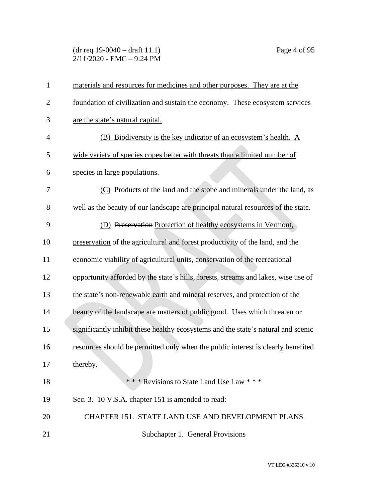# (dr req 19-0040 – draft 11.1) Page 4 of 95  $2/11/2020$  - EMC - 9:24 PM

| $\mathbf{1}$   | materials and resources for medicines and other purposes. They are at the          |
|----------------|------------------------------------------------------------------------------------|
| $\overline{2}$ | foundation of civilization and sustain the economy. These ecosystem services       |
| 3              | are the state's natural capital.                                                   |
| 4              | (B) Biodiversity is the key indicator of an ecosystem's health. A                  |
| 5              | wide variety of species copes better with threats than a limited number of         |
| 6              | species in large populations.                                                      |
| 7              | (C) Products of the land and the stone and minerals under the land, as             |
| 8              | well as the beauty of our landscape are principal natural resources of the state.  |
| 9              | (D) Preservation Protection of healthy ecosystems in Vermont,                      |
| 10             | preservation of the agricultural and forest productivity of the land, and the      |
| 11             | economic viability of agricultural units, conservation of the recreational         |
| 12             | opportunity afforded by the state's hills, forests, streams and lakes, wise use of |
| 13             | the state's non-renewable earth and mineral reserves, and protection of the        |
| 14             | beauty of the landscape are matters of public good. Uses which threaten or         |
| 15             | significantly inhibit these healthy ecosystems and the state's natural and scenic  |
| 16             | resources should be permitted only when the public interest is clearly benefited   |
| 17             | thereby.                                                                           |
| 18             | *** Revisions to State Land Use Law ***                                            |
| 19             | Sec. 3. 10 V.S.A. chapter 151 is amended to read:                                  |
| 20             | CHAPTER 151. STATE LAND USE AND DEVELOPMENT PLANS                                  |
| 21             | Subchapter 1. General Provisions                                                   |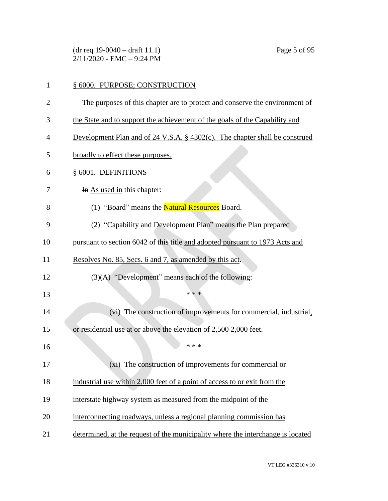(dr req 19-0040 – draft 11.1) Page 5 of 95 2/11/2020 - EMC – 9:24 PM

| 1              | § 6000. PURPOSE; CONSTRUCTION                                                   |
|----------------|---------------------------------------------------------------------------------|
| $\overline{2}$ | The purposes of this chapter are to protect and conserve the environment of     |
| 3              | the State and to support the achievement of the goals of the Capability and     |
| 4              | Development Plan and of 24 V.S.A. $\S$ 4302(c). The chapter shall be construed  |
| 5              | broadly to effect these purposes.                                               |
| 6              | § 6001. DEFINITIONS                                                             |
| 7              | In As used in this chapter:                                                     |
| 8              | (1) "Board" means the <b>Natural Resources</b> Board.                           |
| 9              | (2) "Capability and Development Plan" means the Plan prepared                   |
| 10             | pursuant to section 6042 of this title and adopted pursuant to 1973 Acts and    |
| 11             | Resolves No. 85, Secs. 6 and 7, as amended by this act.                         |
| 12             | (3)(A) "Development" means each of the following:                               |
| 13             | * * *                                                                           |
| 14             | (vi) The construction of improvements for commercial, industrial,               |
| 15             | or residential use at or above the elevation of $2,500$ 2,000 feet.             |
| 16             | * * *                                                                           |
| 17             | The construction of improvements for commercial or<br>$(x_i)$                   |
| 18             | industrial use within 2,000 feet of a point of access to or exit from the       |
| 19             | interstate highway system as measured from the midpoint of the                  |
| 20             | interconnecting roadways, unless a regional planning commission has             |
| 21             | determined, at the request of the municipality where the interchange is located |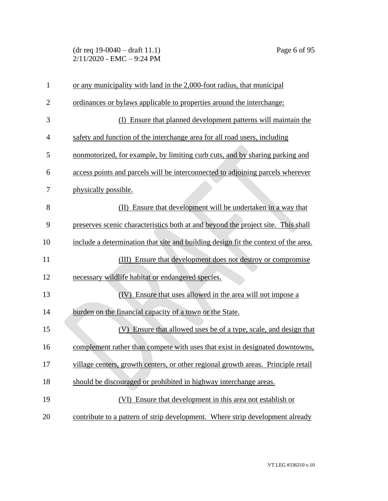(dr req 19-0040 – draft 11.1) Page 6 of 95 2/11/2020 - EMC – 9:24 PM

| $\mathbf{1}$   | or any municipality with land in the 2,000-foot radius, that municipal             |
|----------------|------------------------------------------------------------------------------------|
| $\overline{c}$ | ordinances or bylaws applicable to properties around the interchange:              |
| 3              | Ensure that planned development patterns will maintain the<br>(D                   |
| $\overline{4}$ | safety and function of the interchange area for all road users, including          |
| 5              | nonmotorized, for example, by limiting curb cuts, and by sharing parking and       |
| 6              | access points and parcels will be interconnected to adjoining parcels wherever     |
| 7              | physically possible.                                                               |
| 8              | (II) Ensure that development will be undertaken in a way that                      |
| 9              | preserves scenic characteristics both at and beyond the project site. This shall   |
| 10             | include a determination that site and building design fit the context of the area. |
| 11             | (III) Ensure that development does not destroy or compromise                       |
| 12             | necessary wildlife habitat or endangered species.                                  |
| 13             | (IV) Ensure that uses allowed in the area will not impose a                        |
| 14             | burden on the financial capacity of a town or the State.                           |
| 15             | (V) Ensure that allowed uses be of a type, scale, and design that                  |
| 16             | complement rather than compete with uses that exist in designated downtowns,       |
| 17             | village centers, growth centers, or other regional growth areas. Principle retail  |
| 18             | should be discouraged or prohibited in highway interchange areas.                  |
| 19             | (VI) Ensure that development in this area not establish or                         |
| 20             | contribute to a pattern of strip development. Where strip development already      |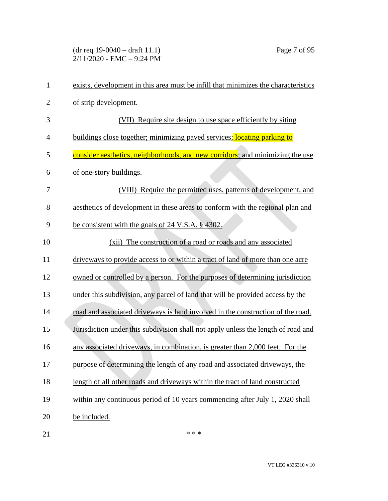(dr req 19-0040 – draft 11.1) Page 7 of 95 2/11/2020 - EMC – 9:24 PM

| $\mathbf{1}$   | exists, development in this area must be infill that minimizes the characteristics |
|----------------|------------------------------------------------------------------------------------|
| $\overline{2}$ | of strip development.                                                              |
| 3              | (VII) Require site design to use space efficiently by siting                       |
| $\overline{4}$ | buildings close together; minimizing paved services; locating parking to           |
| 5              | consider aesthetics, neighborhoods, and new corridors; and minimizing the use      |
| 6              | of one-story buildings.                                                            |
| 7              | (VIII) Require the permitted uses, patterns of development, and                    |
| 8              | aesthetics of development in these areas to conform with the regional plan and     |
| 9              | be consistent with the goals of 24 V.S.A. § 4302.                                  |
| 10             | (xii) The construction of a road or roads and any associated                       |
| 11             | driveways to provide access to or within a tract of land of more than one acre     |
| 12             | owned or controlled by a person. For the purposes of determining jurisdiction      |
| 13             | under this subdivision, any parcel of land that will be provided access by the     |
| 14             | road and associated driveways is land involved in the construction of the road.    |
| 15             | Jurisdiction under this subdivision shall not apply unless the length of road and  |
| 16             | any associated driveways, in combination, is greater than 2,000 feet. For the      |
| 17             | purpose of determining the length of any road and associated driveways, the        |
| 18             | length of all other roads and driveways within the tract of land constructed       |
| 19             | within any continuous period of 10 years commencing after July 1, 2020 shall       |
| 20             | be included.                                                                       |
|                |                                                                                    |

21  $***$ 

VT LEG #336310 v.10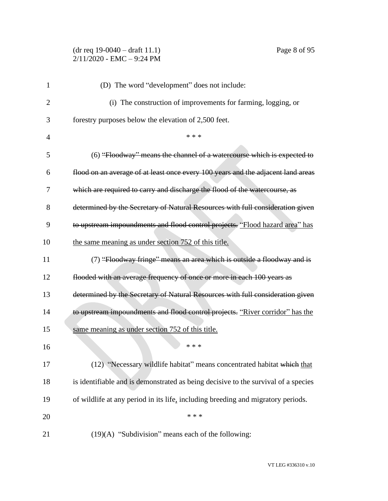## (dr req 19-0040 – draft 11.1) Page 8 of 95 2/11/2020 - EMC – 9:24 PM

| 1  | (D) The word "development" does not include:                                       |
|----|------------------------------------------------------------------------------------|
| 2  | (i) The construction of improvements for farming, logging, or                      |
| 3  | forestry purposes below the elevation of 2,500 feet.                               |
| 4  | * * *                                                                              |
| 5  | (6) "Floodway" means the channel of a watercourse which is expected to             |
| 6  | flood on an average of at least once every 100 years and the adjacent land areas   |
| 7  | which are required to carry and discharge the flood of the watercourse, as         |
| 8  | determined by the Secretary of Natural Resources with full consideration given     |
| 9  | to upstream impoundments and flood control projects. "Flood hazard area" has       |
| 10 | the same meaning as under section 752 of this title.                               |
| 11 | (7) "Floodway fringe" means an area which is outside a floodway and is             |
| 12 | flooded with an average frequency of once or more in each 100 years as             |
| 13 | determined by the Secretary of Natural Resources with full consideration given     |
| 14 | to upstream impoundments and flood control projects. "River corridor" has the      |
| 15 | same meaning as under section 752 of this title.                                   |
| 16 | * * *                                                                              |
| 17 | (12) "Necessary wildlife habitat" means concentrated habitat which that            |
| 18 | is identifiable and is demonstrated as being decisive to the survival of a species |
| 19 | of wildlife at any period in its life, including breeding and migratory periods.   |
| 20 | * * *                                                                              |
| 21 | $(19)(A)$ "Subdivision" means each of the following:                               |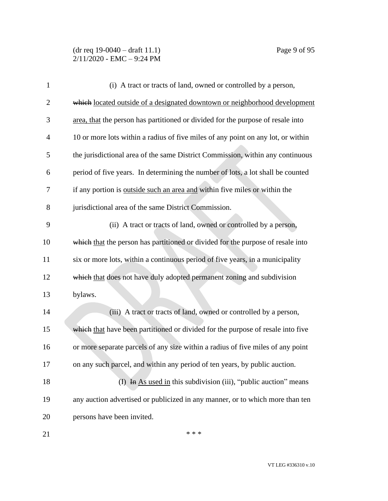## (dr req 19-0040 – draft 11.1) Page 9 of 95 2/11/2020 - EMC – 9:24 PM

| $\mathbf{1}$   | (i) A tract or tracts of land, owned or controlled by a person,                  |
|----------------|----------------------------------------------------------------------------------|
| $\overline{c}$ | which located outside of a designated downtown or neighborhood development       |
| 3              | area, that the person has partitioned or divided for the purpose of resale into  |
| $\overline{4}$ | 10 or more lots within a radius of five miles of any point on any lot, or within |
| 5              | the jurisdictional area of the same District Commission, within any continuous   |
| 6              | period of five years. In determining the number of lots, a lot shall be counted  |
| 7              | if any portion is outside such an area and within five miles or within the       |
| 8              | jurisdictional area of the same District Commission.                             |
| 9              | (ii) A tract or tracts of land, owned or controlled by a person,                 |
| 10             | which that the person has partitioned or divided for the purpose of resale into  |
| 11             | six or more lots, within a continuous period of five years, in a municipality    |
| 12             | which that does not have duly adopted permanent zoning and subdivision           |
| 13             | bylaws.                                                                          |
| 14             | (iii) A tract or tracts of land, owned or controlled by a person,                |
| 15             | which that have been partitioned or divided for the purpose of resale into five  |
| 16             | or more separate parcels of any size within a radius of five miles of any point  |
| 17             | on any such parcel, and within any period of ten years, by public auction.       |
| 18             | (I) $\overline{I}$ As used in this subdivision (iii), "public auction" means     |
| 19             | any auction advertised or publicized in any manner, or to which more than ten    |
| 20             | persons have been invited.                                                       |
| 21             | * * *                                                                            |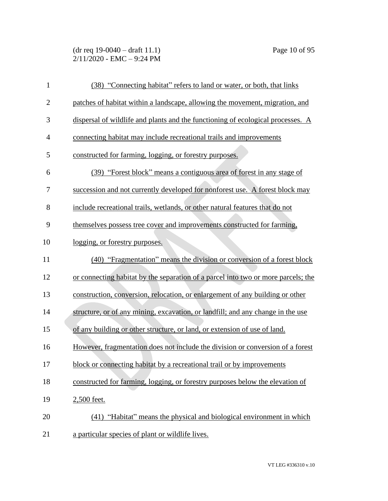(dr req 19-0040 – draft 11.1) Page 10 of 95 2/11/2020 - EMC – 9:24 PM

| $\mathbf{1}$   | (38) "Connecting habitat" refers to land or water, or both, that links            |
|----------------|-----------------------------------------------------------------------------------|
| $\overline{2}$ | patches of habitat within a landscape, allowing the movement, migration, and      |
| 3              | dispersal of wildlife and plants and the functioning of ecological processes. A   |
| $\overline{4}$ | connecting habitat may include recreational trails and improvements               |
| 5              | constructed for farming, logging, or forestry purposes.                           |
| 6              | (39) "Forest block" means a contiguous area of forest in any stage of             |
| 7              | succession and not currently developed for nonforest use. A forest block may      |
| 8              | include recreational trails, wetlands, or other natural features that do not      |
| 9              | themselves possess tree cover and improvements constructed for farming,           |
| 10             | logging, or forestry purposes.                                                    |
| 11             | (40) "Fragmentation" means the division or conversion of a forest block           |
| 12             | or connecting habitat by the separation of a parcel into two or more parcels; the |
| 13             | construction, conversion, relocation, or enlargement of any building or other     |
| 14             | structure, or of any mining, excavation, or landfill; and any change in the use   |
| 15             | of any building or other structure, or land, or extension of use of land.         |
| 16             | However, fragmentation does not include the division or conversion of a forest    |
| 17             | block or connecting habitat by a recreational trail or by improvements            |
| 18             | constructed for farming, logging, or forestry purposes below the elevation of     |
| 19             | 2,500 feet.                                                                       |
| 20             | (41) "Habitat" means the physical and biological environment in which             |
| 21             | a particular species of plant or wildlife lives.                                  |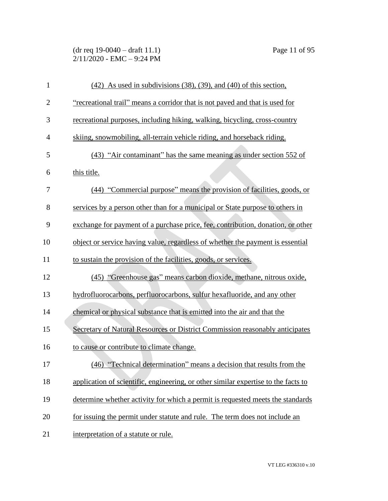(dr req 19-0040 – draft 11.1) Page 11 of 95 2/11/2020 - EMC – 9:24 PM

| $\mathbf{1}$   | $(42)$ As used in subdivisions $(38)$ , $(39)$ , and $(40)$ of this section,       |
|----------------|------------------------------------------------------------------------------------|
| $\overline{2}$ | "recreational trail" means a corridor that is not paved and that is used for       |
| 3              | recreational purposes, including hiking, walking, bicycling, cross-country         |
| $\overline{4}$ | skiing, snowmobiling, all-terrain vehicle riding, and horseback riding.            |
| 5              | (43) "Air contaminant" has the same meaning as under section 552 of                |
| 6              | this title.                                                                        |
| 7              | (44) "Commercial purpose" means the provision of facilities, goods, or             |
| 8              | services by a person other than for a municipal or State purpose to others in      |
| 9              | exchange for payment of a purchase price, fee, contribution, donation, or other    |
| 10             | object or service having value, regardless of whether the payment is essential     |
| 11             | to sustain the provision of the facilities, goods, or services.                    |
| 12             | (45) "Greenhouse gas" means carbon dioxide, methane, nitrous oxide,                |
| 13             | hydrofluorocarbons, perfluorocarbons, sulfur hexafluoride, and any other           |
| 14             | chemical or physical substance that is emitted into the air and that the           |
| 15             | Secretary of Natural Resources or District Commission reasonably anticipates       |
| 16             | to cause or contribute to climate change.                                          |
| 17             | (46) "Technical determination" means a decision that results from the              |
| 18             | application of scientific, engineering, or other similar expertise to the facts to |
| 19             | determine whether activity for which a permit is requested meets the standards     |
| 20             | for issuing the permit under statute and rule. The term does not include an        |
| 21             | interpretation of a statute or rule.                                               |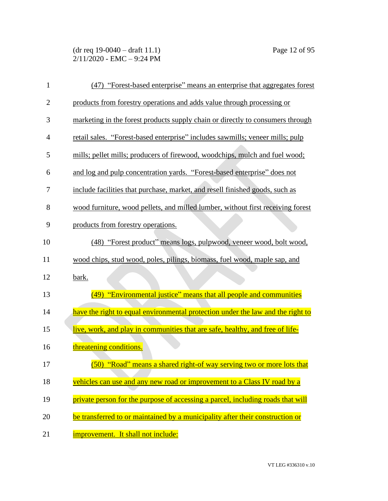(dr req 19-0040 – draft 11.1) Page 12 of 95 2/11/2020 - EMC – 9:24 PM

| $\mathbf{1}$   | (47) "Forest-based enterprise" means an enterprise that aggregates forest       |
|----------------|---------------------------------------------------------------------------------|
| $\overline{2}$ | products from forestry operations and adds value through processing or          |
| 3              | marketing in the forest products supply chain or directly to consumers through  |
| 4              | retail sales. "Forest-based enterprise" includes sawmills; veneer mills; pulp   |
| 5              | mills; pellet mills; producers of firewood, woodchips, mulch and fuel wood;     |
| 6              | and log and pulp concentration yards. "Forest-based enterprise" does not        |
| 7              | include facilities that purchase, market, and resell finished goods, such as    |
| 8              | wood furniture, wood pellets, and milled lumber, without first receiving forest |
| 9              | products from forestry operations.                                              |
| 10             | (48) "Forest product" means logs, pulpwood, veneer wood, bolt wood,             |
| 11             | wood chips, stud wood, poles, pilings, biomass, fuel wood, maple sap, and       |
| 12             | bark.                                                                           |
| 13             | (49) "Environmental justice" means that all people and communities              |
| 14             | have the right to equal environmental protection under the law and the right to |
| 15             | live, work, and play in communities that are safe, healthy, and free of life-   |
| 16             | threatening conditions.                                                         |
| 17             | (50) "Road" means a shared right-of way serving two or more lots that           |
| 18             | vehicles can use and any new road or improvement to a Class IV road by a        |
| 19             | private person for the purpose of accessing a parcel, including roads that will |
| 20             | be transferred to or maintained by a municipality after their construction or   |
| 21             | improvement. It shall not include:                                              |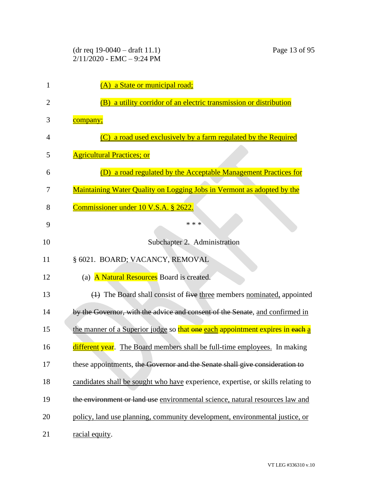| 1  | (A) a State or municipal road;                                                   |
|----|----------------------------------------------------------------------------------|
| 2  | (B) a utility corridor of an electric transmission or distribution               |
| 3  | company;                                                                         |
| 4  | a road used exclusively by a farm regulated by the Required<br>$\left( C\right)$ |
| 5  | <b>Agricultural Practices; or</b>                                                |
| 6  | a road regulated by the Acceptable Management Practices for<br>(D)               |
| 7  | Maintaining Water Quality on Logging Jobs in Vermont as adopted by the           |
| 8  | Commissioner under 10 V.S.A. § 2622.                                             |
| 9  | * * *                                                                            |
| 10 | Subchapter 2. Administration                                                     |
| 11 | § 6021. BOARD; VACANCY, REMOVAL                                                  |
| 12 | (a) A Natural Resources Board is created.                                        |
| 13 | (4) The Board shall consist of five three members nominated, appointed           |
| 14 | by the Governor, with the advice and consent of the Senate, and confirmed in     |
| 15 | the manner of a Superior judge so that one each appointment expires in each a    |
| 16 | different year. The Board members shall be full-time employees. In making        |
| 17 | these appointments, the Governor and the Senate shall give consideration to      |
| 18 | candidates shall be sought who have experience, expertise, or skills relating to |
| 19 | the environment or land use environmental science, natural resources law and     |
| 20 | policy, land use planning, community development, environmental justice, or      |
| 21 | racial equity.                                                                   |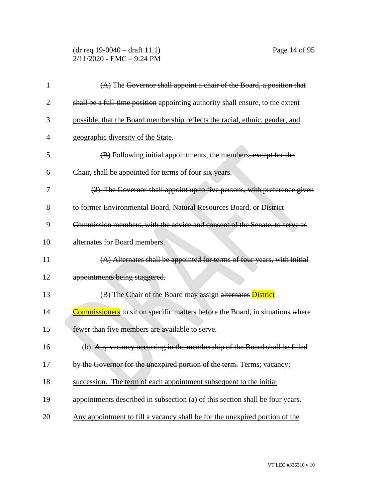(dr req 19-0040 – draft 11.1) Page 14 of 95 2/11/2020 - EMC – 9:24 PM

| 1  | (A) The Governor shall appoint a chair of the Board, a position that                  |
|----|---------------------------------------------------------------------------------------|
| 2  | shall be a full-time position appointing authority shall ensure, to the extent        |
| 3  | possible, that the Board membership reflects the racial, ethnic, gender, and          |
| 4  | geographic diversity of the State.                                                    |
| 5  | (B) Following initial appointments, the members, except for the                       |
| 6  | Chair, shall be appointed for terms of four six years.                                |
| 7  | (2) The Governor shall appoint up to five persons, with preference given              |
| 8  | to former Environmental Board, Natural Resources Board, or District                   |
| 9  | Commission members, with the advice and consent of the Senate, to serve as            |
| 10 | alternates for Board members.                                                         |
| 11 | (A) Alternates shall be appointed for terms of four years, with initial               |
| 12 | appointments being staggered.                                                         |
| 13 | (B) The Chair of the Board may assign alternates District                             |
| 14 | <b>Commissioners</b> to sit on specific matters before the Board, in situations where |
| 15 | fewer than five members are available to serve.                                       |
| 16 | (b) Any vacancy occurring in the membership of the Board shall be filled              |
| 17 | by the Governor for the unexpired portion of the term. Terms; vacancy;                |
| 18 | succession. The term of each appointment subsequent to the initial                    |
| 19 | appointments described in subsection (a) of this section shall be four years.         |
| 20 | Any appointment to fill a vacancy shall be for the unexpired portion of the           |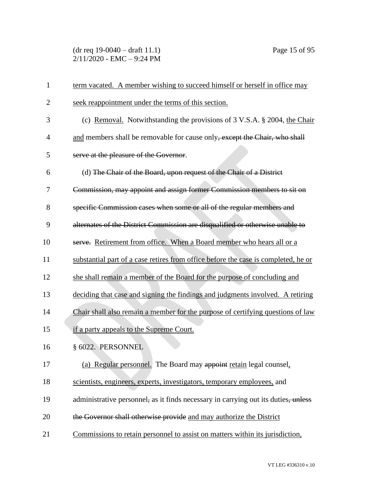(dr req 19-0040 – draft 11.1) Page 15 of 95 2/11/2020 - EMC – 9:24 PM

| 1              | term vacated. A member wishing to succeed himself or herself in office may         |
|----------------|------------------------------------------------------------------------------------|
| $\overline{2}$ | seek reappointment under the terms of this section.                                |
| 3              | (c) Removal. Notwithstanding the provisions of 3 V.S.A. § 2004, the Chair          |
| $\overline{4}$ | and members shall be removable for cause only, except the Chair, who shall         |
| 5              | serve at the pleasure of the Governor.                                             |
| 6              | (d) The Chair of the Board, upon request of the Chair of a District                |
| 7              | Commission, may appoint and assign former Commission members to sit on             |
| 8              | specific Commission cases when some or all of the regular members and              |
| 9              | alternates of the District Commission are disqualified or otherwise unable to      |
| 10             | serve. Retirement from office. When a Board member who hears all or a              |
| 11             | substantial part of a case retires from office before the case is completed, he or |
| 12             | she shall remain a member of the Board for the purpose of concluding and           |
| 13             | deciding that case and signing the findings and judgments involved. A retiring     |
| 14             | Chair shall also remain a member for the purpose of certifying questions of law    |
| 15             | if a party appeals to the Supreme Court.                                           |
| 16             | § 6022. PERSONNEL                                                                  |
| 17             | (a) Regular personnel. The Board may appoint retain legal counsel.                 |
| 18             | scientists, engineers, experts, investigators, temporary employees, and            |
| 19             | administrative personnel, as it finds necessary in carrying out its duties, unless |
| 20             | the Governor shall otherwise provide and may authorize the District                |
| 21             | Commissions to retain personnel to assist on matters within its jurisdiction,      |
|                |                                                                                    |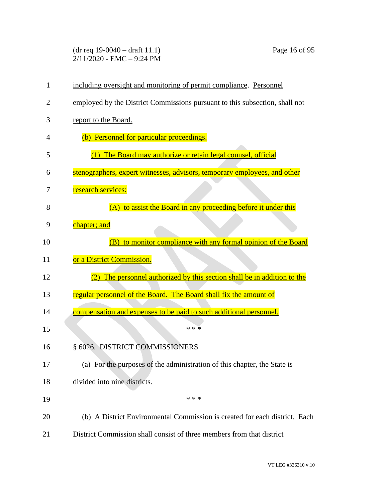(dr req 19-0040 – draft 11.1) Page 16 of 95 2/11/2020 - EMC – 9:24 PM

| $\mathbf{1}$ | including oversight and monitoring of permit compliance. Personnel          |
|--------------|-----------------------------------------------------------------------------|
| 2            | employed by the District Commissions pursuant to this subsection, shall not |
| 3            | report to the Board.                                                        |
| 4            | (b) Personnel for particular proceedings.                                   |
| 5            | (1) The Board may authorize or retain legal counsel, official               |
| 6            | stenographers, expert witnesses, advisors, temporary employees, and other   |
| 7            | research services:                                                          |
| 8            | (A) to assist the Board in any proceeding before it under this              |
| 9            | chapter; and                                                                |
| 10           | (B) to monitor compliance with any formal opinion of the Board              |
| 11           | or a District Commission.                                                   |
| 12           | (2) The personnel authorized by this section shall be in addition to the    |
| 13           | regular personnel of the Board. The Board shall fix the amount of           |
| 14           | compensation and expenses to be paid to such additional personnel.          |
| 15           | * * *                                                                       |
| 16           | § 6026. DISTRICT COMMISSIONERS                                              |
| 17           | (a) For the purposes of the administration of this chapter, the State is    |
| 18           | divided into nine districts.                                                |
| 19           | * * *                                                                       |
| 20           | (b) A District Environmental Commission is created for each district. Each  |
| 21           | District Commission shall consist of three members from that district       |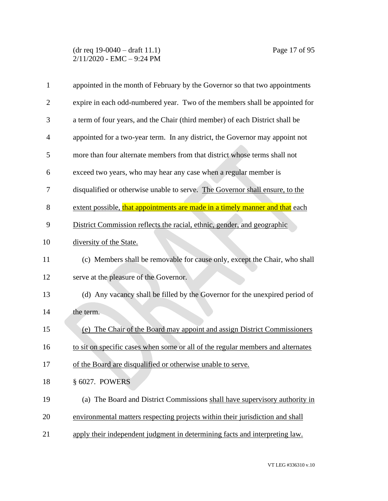(dr req 19-0040 – draft 11.1) Page 17 of 95 2/11/2020 - EMC – 9:24 PM

| 1              | appointed in the month of February by the Governor so that two appointments     |
|----------------|---------------------------------------------------------------------------------|
| $\overline{2}$ | expire in each odd-numbered year. Two of the members shall be appointed for     |
| 3              | a term of four years, and the Chair (third member) of each District shall be    |
| 4              | appointed for a two-year term. In any district, the Governor may appoint not    |
| 5              | more than four alternate members from that district whose terms shall not       |
| 6              | exceed two years, who may hear any case when a regular member is                |
| 7              | disqualified or otherwise unable to serve. The Governor shall ensure, to the    |
| 8              | extent possible, that appointments are made in a timely manner and that each    |
| 9              | District Commission reflects the racial, ethnic, gender, and geographic         |
| 10             | diversity of the State.                                                         |
| 11             | (c) Members shall be removable for cause only, except the Chair, who shall      |
| 12             | serve at the pleasure of the Governor.                                          |
| 13             | (d) Any vacancy shall be filled by the Governor for the unexpired period of     |
| 14             | the term.                                                                       |
| 15             | (e) The Chair of the Board may appoint and assign District Commissioners        |
| 16             | to sit on specific cases when some or all of the regular members and alternates |
| 17             | of the Board are disqualified or otherwise unable to serve.                     |
| 18             | § 6027. POWERS                                                                  |
| 19             | (a) The Board and District Commissions shall have supervisory authority in      |
| 20             | environmental matters respecting projects within their jurisdiction and shall   |
| 21             | apply their independent judgment in determining facts and interpreting law.     |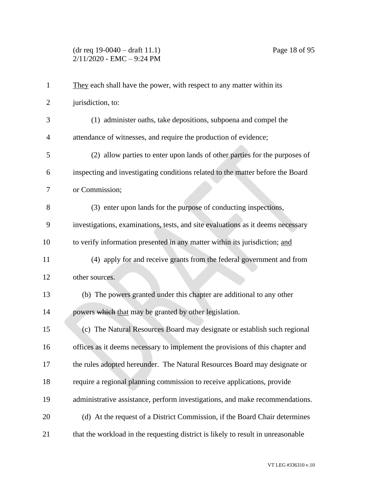## (dr req 19-0040 – draft 11.1) Page 18 of 95 2/11/2020 - EMC – 9:24 PM

| $\mathbf{1}$   | They each shall have the power, with respect to any matter within its            |
|----------------|----------------------------------------------------------------------------------|
| $\overline{2}$ | jurisdiction, to:                                                                |
| 3              | (1) administer oaths, take depositions, subpoena and compel the                  |
| 4              | attendance of witnesses, and require the production of evidence;                 |
| 5              | (2) allow parties to enter upon lands of other parties for the purposes of       |
| 6              | inspecting and investigating conditions related to the matter before the Board   |
| 7              | or Commission;                                                                   |
| 8              | (3) enter upon lands for the purpose of conducting inspections,                  |
| 9              | investigations, examinations, tests, and site evaluations as it deems necessary  |
| 10             | to verify information presented in any matter within its jurisdiction; and       |
| 11             | (4) apply for and receive grants from the federal government and from            |
| 12             | other sources.                                                                   |
| 13             | (b) The powers granted under this chapter are additional to any other            |
| 14             | powers which that may be granted by other legislation.                           |
| 15             | (c) The Natural Resources Board may designate or establish such regional         |
| 16             | offices as it deems necessary to implement the provisions of this chapter and    |
| 17             | the rules adopted hereunder. The Natural Resources Board may designate or        |
| 18             | require a regional planning commission to receive applications, provide          |
| 19             | administrative assistance, perform investigations, and make recommendations.     |
| 20             | (d) At the request of a District Commission, if the Board Chair determines       |
| 21             | that the workload in the requesting district is likely to result in unreasonable |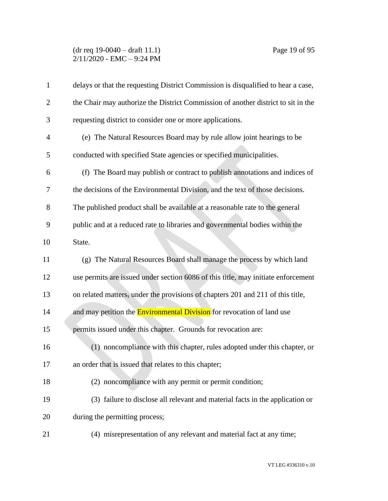## (dr req 19-0040 – draft 11.1) Page 19 of 95 2/11/2020 - EMC – 9:24 PM

| $\mathbf{1}$   | delays or that the requesting District Commission is disqualified to hear a case, |
|----------------|-----------------------------------------------------------------------------------|
| $\overline{2}$ | the Chair may authorize the District Commission of another district to sit in the |
| 3              | requesting district to consider one or more applications.                         |
| 4              | (e) The Natural Resources Board may by rule allow joint hearings to be            |
| 5              | conducted with specified State agencies or specified municipalities.              |
| 6              | (f) The Board may publish or contract to publish annotations and indices of       |
| 7              | the decisions of the Environmental Division, and the text of those decisions.     |
| 8              | The published product shall be available at a reasonable rate to the general      |
| 9              | public and at a reduced rate to libraries and governmental bodies within the      |
| 10             | State.                                                                            |
| 11             | (g) The Natural Resources Board shall manage the process by which land            |
| 12             | use permits are issued under section 6086 of this title, may initiate enforcement |
| 13             | on related matters, under the provisions of chapters 201 and 211 of this title,   |
| 14             | and may petition the <b>Environmental Division</b> for revocation of land use     |
| 15             | permits issued under this chapter. Grounds for revocation are:                    |
| 16             | (1) noncompliance with this chapter, rules adopted under this chapter, or         |
| 17             | an order that is issued that relates to this chapter;                             |
| 18             | (2) noncompliance with any permit or permit condition;                            |
| 19             | (3) failure to disclose all relevant and material facts in the application or     |
| 20             | during the permitting process;                                                    |
| 21             | (4) misrepresentation of any relevant and material fact at any time;              |
|                |                                                                                   |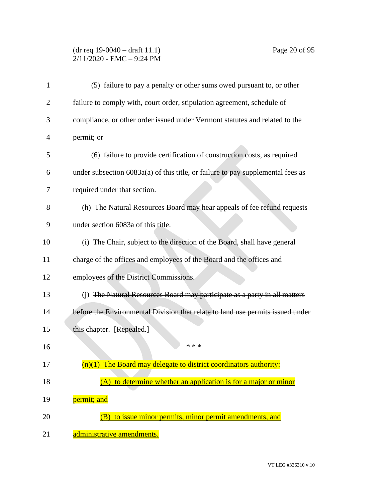# (dr req 19-0040 – draft 11.1) Page 20 of 95 2/11/2020 - EMC – 9:24 PM

| $\mathbf{1}$ | (5) failure to pay a penalty or other sums owed pursuant to, or other           |
|--------------|---------------------------------------------------------------------------------|
| 2            | failure to comply with, court order, stipulation agreement, schedule of         |
| 3            | compliance, or other order issued under Vermont statutes and related to the     |
| 4            | permit; or                                                                      |
| 5            | (6) failure to provide certification of construction costs, as required         |
| 6            | under subsection 6083a(a) of this title, or failure to pay supplemental fees as |
| 7            | required under that section.                                                    |
| 8            | (h) The Natural Resources Board may hear appeals of fee refund requests         |
| 9            | under section 6083a of this title.                                              |
| 10           | (i) The Chair, subject to the direction of the Board, shall have general        |
| 11           | charge of the offices and employees of the Board and the offices and            |
| 12           | employees of the District Commissions.                                          |
| 13           | (j) The Natural Resources Board may participate as a party in all matters       |
| 14           | before the Environmental Division that relate to land use permits issued under  |
| 15           | this chapter. [Repealed.]                                                       |
| 16           | * * *                                                                           |
| 17           | $(n)(1)$ The Board may delegate to district coordinators authority:             |
| 18           | (A) to determine whether an application is for a major or minor                 |
| 19           | permit; and                                                                     |
| 20           | to issue minor permits, minor permit amendments, and<br>(B)                     |
| 21           | administrative amendments.                                                      |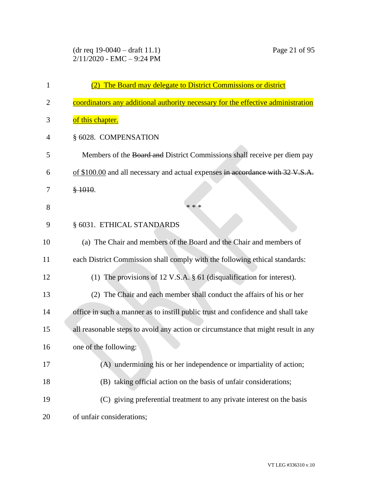| 1  | (2) The Board may delegate to District Commissions or district                    |
|----|-----------------------------------------------------------------------------------|
| 2  | coordinators any additional authority necessary for the effective administration  |
| 3  | of this chapter.                                                                  |
| 4  | § 6028. COMPENSATION                                                              |
| 5  | Members of the Board and District Commissions shall receive per diem pay          |
| 6  | of \$100.00 and all necessary and actual expenses in accordance with 32 V.S.A.    |
| 7  | \$1010.                                                                           |
| 8  | * * *                                                                             |
| 9  | § 6031. ETHICAL STANDARDS                                                         |
| 10 | (a) The Chair and members of the Board and the Chair and members of               |
| 11 | each District Commission shall comply with the following ethical standards:       |
| 12 | (1) The provisions of 12 V.S.A. § 61 (disqualification for interest).             |
| 13 | (2) The Chair and each member shall conduct the affairs of his or her             |
| 14 | office in such a manner as to instill public trust and confidence and shall take  |
| 15 | all reasonable steps to avoid any action or circumstance that might result in any |
| 16 | one of the following:                                                             |
| 17 | (A) undermining his or her independence or impartiality of action;                |
| 18 | (B) taking official action on the basis of unfair considerations;                 |
| 19 | (C) giving preferential treatment to any private interest on the basis            |
| 20 | of unfair considerations;                                                         |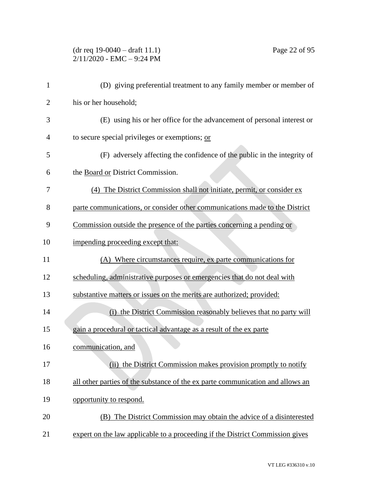# (dr req 19-0040 – draft 11.1) Page 22 of 95 2/11/2020 - EMC – 9:24 PM

| $\mathbf{1}$   | (D) giving preferential treatment to any family member or member of            |
|----------------|--------------------------------------------------------------------------------|
| $\overline{2}$ | his or her household;                                                          |
| 3              | (E) using his or her office for the advancement of personal interest or        |
| $\overline{4}$ | to secure special privileges or exemptions; or                                 |
| 5              | (F) adversely affecting the confidence of the public in the integrity of       |
| 6              | the Board or District Commission.                                              |
| 7              | (4) The District Commission shall not initiate, permit, or consider ex         |
| 8              | parte communications, or consider other communications made to the District    |
| 9              | Commission outside the presence of the parties concerning a pending or         |
| 10             | impending proceeding except that:                                              |
| 11             | (A) Where circumstances require, ex parte communications for                   |
| 12             | scheduling, administrative purposes or emergencies that do not deal with       |
| 13             | substantive matters or issues on the merits are authorized; provided:          |
| 14             | (i) the District Commission reasonably believes that no party will             |
| 15             | gain a procedural or tactical advantage as a result of the ex parte            |
| 16             | communication, and                                                             |
| 17             | (ii) the District Commission makes provision promptly to notify                |
| 18             | all other parties of the substance of the ex parte communication and allows an |
| 19             | opportunity to respond.                                                        |
| 20             | (B) The District Commission may obtain the advice of a disinterested           |
| 21             | expert on the law applicable to a proceeding if the District Commission gives  |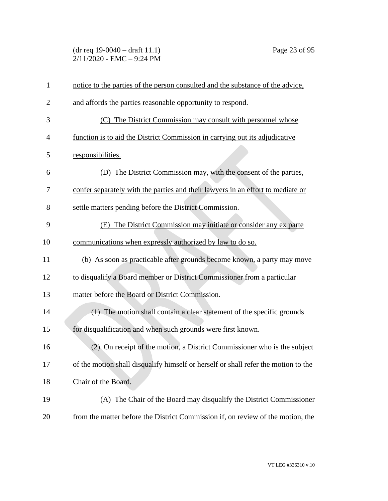(dr req 19-0040 – draft 11.1) Page 23 of 95 2/11/2020 - EMC – 9:24 PM

| $\mathbf{1}$   | notice to the parties of the person consulted and the substance of the advice,     |
|----------------|------------------------------------------------------------------------------------|
| $\overline{2}$ | and affords the parties reasonable opportunity to respond.                         |
| 3              | (C) The District Commission may consult with personnel whose                       |
| 4              | function is to aid the District Commission in carrying out its adjudicative        |
| 5              | responsibilities.                                                                  |
| 6              | (D) The District Commission may, with the consent of the parties,                  |
| 7              | confer separately with the parties and their lawyers in an effort to mediate or    |
| 8              | settle matters pending before the District Commission.                             |
| 9              | The District Commission may initiate or consider any ex parte<br>(E)               |
| 10             | communications when expressly authorized by law to do so.                          |
| 11             | (b) As soon as practicable after grounds become known, a party may move            |
| 12             | to disqualify a Board member or District Commissioner from a particular            |
| 13             | matter before the Board or District Commission.                                    |
| 14             | (1) The motion shall contain a clear statement of the specific grounds             |
| 15             | for disqualification and when such grounds were first known.                       |
| 16             | (2) On receipt of the motion, a District Commissioner who is the subject           |
| 17             | of the motion shall disqualify himself or herself or shall refer the motion to the |
| 18             | Chair of the Board.                                                                |
| 19             | (A) The Chair of the Board may disqualify the District Commissioner                |
| 20             | from the matter before the District Commission if, on review of the motion, the    |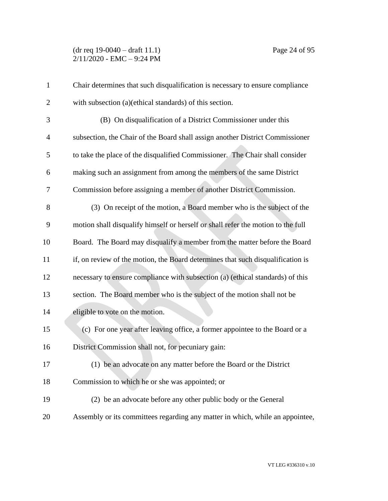(dr req 19-0040 – draft 11.1) Page 24 of 95 2/11/2020 - EMC – 9:24 PM

| $\mathbf{1}$   | Chair determines that such disqualification is necessary to ensure compliance    |
|----------------|----------------------------------------------------------------------------------|
| $\overline{2}$ | with subsection (a)(ethical standards) of this section.                          |
| 3              | (B) On disqualification of a District Commissioner under this                    |
| $\overline{4}$ | subsection, the Chair of the Board shall assign another District Commissioner    |
| 5              | to take the place of the disqualified Commissioner. The Chair shall consider     |
| 6              | making such an assignment from among the members of the same District            |
| 7              | Commission before assigning a member of another District Commission.             |
| 8              | (3) On receipt of the motion, a Board member who is the subject of the           |
| 9              | motion shall disqualify himself or herself or shall refer the motion to the full |
| 10             | Board. The Board may disqualify a member from the matter before the Board        |
| 11             | if, on review of the motion, the Board determines that such disqualification is  |
| 12             | necessary to ensure compliance with subsection (a) (ethical standards) of this   |
| 13             | section. The Board member who is the subject of the motion shall not be          |
| 14             | eligible to vote on the motion.                                                  |
| 15             | (c) For one year after leaving office, a former appointee to the Board or a      |
| 16             | District Commission shall not, for pecuniary gain:                               |
| 17             | (1) be an advocate on any matter before the Board or the District                |
| 18             | Commission to which he or she was appointed; or                                  |
| 19             | (2) be an advocate before any other public body or the General                   |
| 20             | Assembly or its committees regarding any matter in which, while an appointee,    |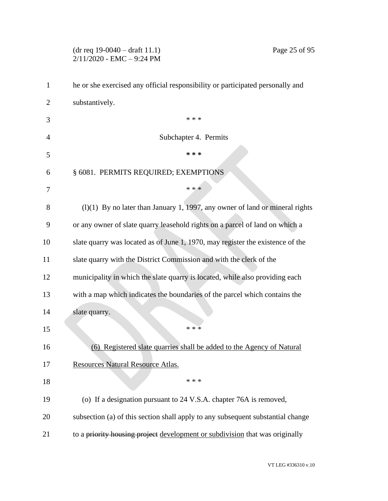# 2/11/2020 - EMC – 9:24 PM he or she exercised any official responsibility or participated personally and substantively.  $***$  Subchapter 4. Permits **\* \* \*** § 6081. PERMITS REQUIRED; EXEMPTIONS  $* * *$  (l)(1) By no later than January 1, 1997, any owner of land or mineral rights or any owner of slate quarry leasehold rights on a parcel of land on which a slate quarry was located as of June 1, 1970, may register the existence of the slate quarry with the District Commission and with the clerk of the municipality in which the slate quarry is located, while also providing each with a map which indicates the boundaries of the parcel which contains the slate quarry. \*\*\* (6) Registered slate quarries shall be added to the Agency of Natural Resources Natural Resource Atlas. \*\*\* (o) If a designation pursuant to 24 V.S.A. chapter 76A is removed, subsection (a) of this section shall apply to any subsequent substantial change 21 to a priority housing project development or subdivision that was originally

(dr req 19-0040 – draft 11.1) Page 25 of 95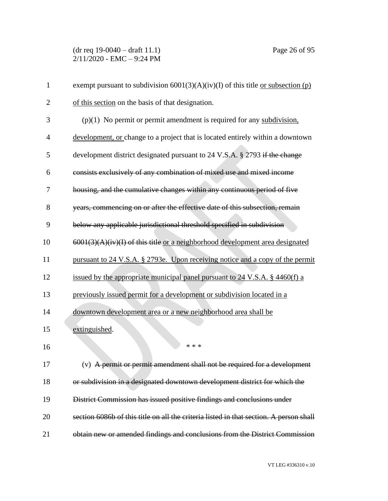(dr req 19-0040 – draft 11.1) Page 26 of 95 2/11/2020 - EMC – 9:24 PM

| $\mathbf{1}$   | exempt pursuant to subdivision $6001(3)(A)(iv)(I)$ of this title <u>or subsection (p)</u> |
|----------------|-------------------------------------------------------------------------------------------|
| $\overline{2}$ | of this section on the basis of that designation.                                         |
| 3              | $(p)(1)$ No permit or permit amendment is required for any subdivision,                   |
| $\overline{4}$ | development, or change to a project that is located entirely within a downtown            |
| 5              | development district designated pursuant to 24 V.S.A. § 2793 if the change                |
| 6              | consists exclusively of any combination of mixed use and mixed income                     |
| 7              | housing, and the cumulative changes within any continuous period of five                  |
| 8              | years, commencing on or after the effective date of this subsection, remain               |
| 9              | below any applicable jurisdictional threshold specified in subdivision                    |
| 10             | $6001(3)(A)(iv)(I)$ of this title or a neighborhood development area designated           |
| 11             | pursuant to 24 V.S.A. § 2793e. Upon receiving notice and a copy of the permit             |
| 12             | issued by the appropriate municipal panel pursuant to 24 V.S.A. § 4460(f) a               |
| 13             | previously issued permit for a development or subdivision located in a                    |
| 14             | downtown development area or a new neighborhood area shall be                             |
| 15             | extinguished.                                                                             |
| 16             | * * *                                                                                     |
| 17             | (v) A permit or permit amendment shall not be required for a development                  |
| 18             | or subdivision in a designated downtown development district for which the                |
| 19             | District Commission has issued positive findings and conclusions under                    |
| 20             | section 6086b of this title on all the criteria listed in that section. A person shall    |
| 21             | obtain new or amended findings and conclusions from the District Commission               |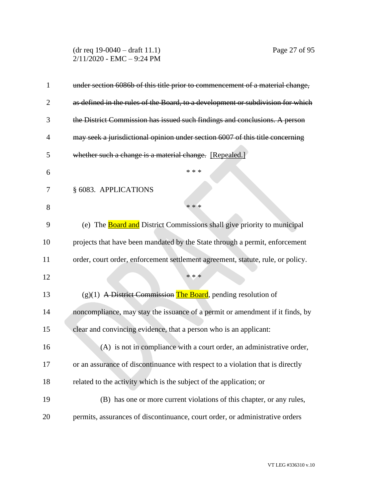(dr req 19-0040 – draft 11.1) Page 27 of 95  $2/11/2020$  - EMC - 9:24 PM

| $\mathbf{1}$   | under section 6086b of this title prior to commencement of a material change,   |
|----------------|---------------------------------------------------------------------------------|
| $\overline{2}$ | as defined in the rules of the Board, to a development or subdivision for which |
| 3              | the District Commission has issued such findings and conclusions. A person      |
| 4              | may seek a jurisdictional opinion under section 6007 of this title concerning   |
| 5              | whether such a change is a material change. [Repealed.]                         |
| 6              | * * *                                                                           |
| 7              | § 6083. APPLICATIONS                                                            |
| 8              | * * *                                                                           |
| 9              | (e) The <b>Board and</b> District Commissions shall give priority to municipal  |
| 10             | projects that have been mandated by the State through a permit, enforcement     |
| 11             | order, court order, enforcement settlement agreement, statute, rule, or policy. |
| 12             | * * *                                                                           |
| 13             | $(g)(1)$ A District Commission The Board, pending resolution of                 |
| 14             | noncompliance, may stay the issuance of a permit or amendment if it finds, by   |
| 15             | clear and convincing evidence, that a person who is an applicant:               |
| 16             | (A) is not in compliance with a court order, an administrative order,           |
| 17             | or an assurance of discontinuance with respect to a violation that is directly  |
| 18             | related to the activity which is the subject of the application; or             |
| 19             | (B) has one or more current violations of this chapter, or any rules,           |
| 20             | permits, assurances of discontinuance, court order, or administrative orders    |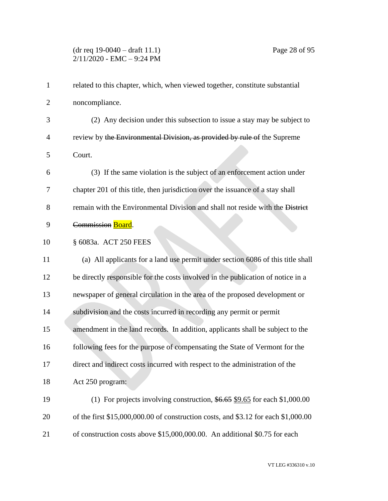## (dr req 19-0040 – draft 11.1) Page 28 of 95 2/11/2020 - EMC – 9:24 PM

| $\mathbf{1}$   | related to this chapter, which, when viewed together, constitute substantial       |
|----------------|------------------------------------------------------------------------------------|
| $\overline{2}$ | noncompliance.                                                                     |
| 3              | (2) Any decision under this subsection to issue a stay may be subject to           |
| $\overline{4}$ | review by the Environmental Division, as provided by rule of the Supreme           |
| 5              | Court.                                                                             |
| 6              | (3) If the same violation is the subject of an enforcement action under            |
| 7              | chapter 201 of this title, then jurisdiction over the issuance of a stay shall     |
| 8              | remain with the Environmental Division and shall not reside with the District      |
| 9              | Commission Board.                                                                  |
| 10             | § 6083a. ACT 250 FEES                                                              |
| 11             | (a) All applicants for a land use permit under section 6086 of this title shall    |
| 12             | be directly responsible for the costs involved in the publication of notice in a   |
| 13             | newspaper of general circulation in the area of the proposed development or        |
| 14             | subdivision and the costs incurred in recording any permit or permit               |
| 15             | amendment in the land records. In addition, applicants shall be subject to the     |
| 16             | following fees for the purpose of compensating the State of Vermont for the        |
| 17             | direct and indirect costs incurred with respect to the administration of the       |
| 18             | Act 250 program:                                                                   |
| 19             | (1) For projects involving construction, $$6.65$ \$9.65 for each \$1,000.00        |
| 20             | of the first \$15,000,000.00 of construction costs, and \$3.12 for each \$1,000.00 |
| 21             | of construction costs above \$15,000,000.00. An additional \$0.75 for each         |

VT LEG #336310 v.10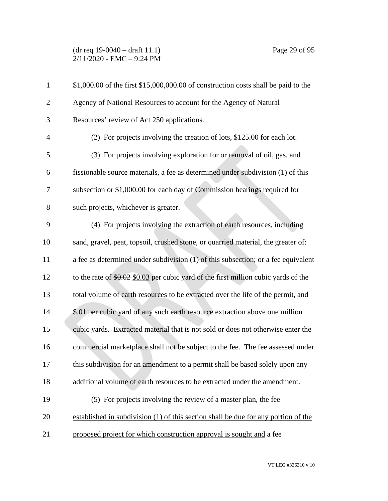## (dr req 19-0040 – draft 11.1) Page 29 of 95 2/11/2020 - EMC – 9:24 PM

| $\mathbf{1}$   | \$1,000.00 of the first \$15,000,000.00 of construction costs shall be paid to the   |
|----------------|--------------------------------------------------------------------------------------|
| $\mathbf{2}$   | Agency of National Resources to account for the Agency of Natural                    |
| 3              | Resources' review of Act 250 applications.                                           |
| $\overline{4}$ | (2) For projects involving the creation of lots, \$125.00 for each lot.              |
| 5              | (3) For projects involving exploration for or removal of oil, gas, and               |
| 6              | fissionable source materials, a fee as determined under subdivision (1) of this      |
| 7              | subsection or \$1,000.00 for each day of Commission hearings required for            |
| 8              | such projects, whichever is greater.                                                 |
| 9              | (4) For projects involving the extraction of earth resources, including              |
| 10             | sand, gravel, peat, topsoil, crushed stone, or quarried material, the greater of:    |
| 11             | a fee as determined under subdivision (1) of this subsection; or a fee equivalent    |
| 12             | to the rate of $$0.02$ \$0.03 per cubic yard of the first million cubic yards of the |
| 13             | total volume of earth resources to be extracted over the life of the permit, and     |
| 14             | \$.01 per cubic yard of any such earth resource extraction above one million         |
| 15             | cubic yards. Extracted material that is not sold or does not otherwise enter the     |
| 16             | commercial marketplace shall not be subject to the fee. The fee assessed under       |
| 17             | this subdivision for an amendment to a permit shall be based solely upon any         |
| 18             | additional volume of earth resources to be extracted under the amendment.            |
| 19             | (5) For projects involving the review of a master plan, the fee                      |
| 20             | established in subdivision (1) of this section shall be due for any portion of the   |
| 21             | proposed project for which construction approval is sought and a fee                 |
|                |                                                                                      |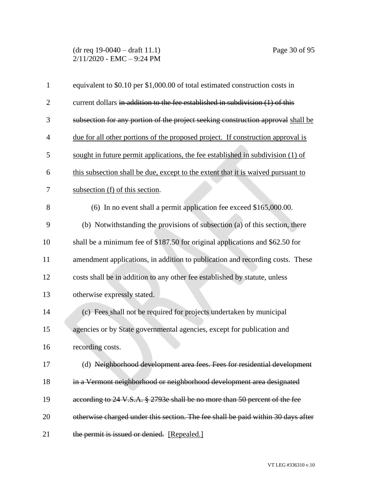(dr req 19-0040 – draft 11.1) Page 30 of 95 2/11/2020 - EMC – 9:24 PM

| $\mathbf{1}$   | equivalent to \$0.10 per \$1,000.00 of total estimated construction costs in     |
|----------------|----------------------------------------------------------------------------------|
| $\overline{2}$ | current dollars in addition to the fee established in subdivision (1) of this    |
|                |                                                                                  |
| 3              | subsection for any portion of the project seeking construction approval shall be |
| 4              | due for all other portions of the proposed project. If construction approval is  |
| 5              | sought in future permit applications, the fee established in subdivision (1) of  |
| 6              | this subsection shall be due, except to the extent that it is waived pursuant to |
| 7              | subsection (f) of this section.                                                  |
| 8              | (6) In no event shall a permit application fee exceed \$165,000.00.              |
| 9              | (b) Notwithstanding the provisions of subsection (a) of this section, there      |
| 10             | shall be a minimum fee of \$187.50 for original applications and \$62.50 for     |
| 11             | amendment applications, in addition to publication and recording costs. These    |
| 12             | costs shall be in addition to any other fee established by statute, unless       |
| 13             | otherwise expressly stated.                                                      |
| 14             | (c) Fees_shall not be required for projects undertaken by municipal              |
| 15             | agencies or by State governmental agencies, except for publication and           |
| 16             | recording costs.                                                                 |
| 17             | (d) Neighborhood development area fees. Fees for residential development         |
| 18             | in a Vermont neighborhood or neighborhood development area designated            |
| 19             | according to 24 V.S.A. § 2793e shall be no more than 50 percent of the fee       |
| 20             | otherwise charged under this section. The fee shall be paid within 30 days after |
| 21             | the permit is issued or denied. [Repealed.]                                      |

VT LEG #336310 v.10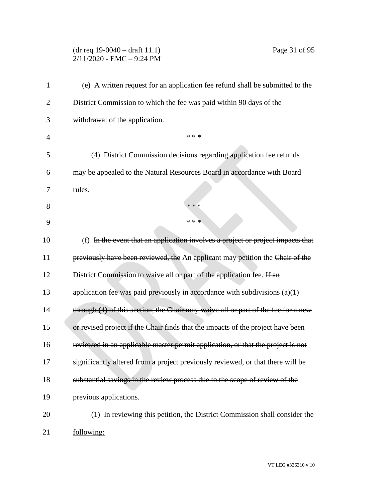# (dr req 19-0040 – draft 11.1) Page 31 of 95 2/11/2020 - EMC – 9:24 PM

| 1              | (e) A written request for an application fee refund shall be submitted to the     |
|----------------|-----------------------------------------------------------------------------------|
| $\overline{2}$ | District Commission to which the fee was paid within 90 days of the               |
| 3              | withdrawal of the application.                                                    |
| $\overline{4}$ | * * *                                                                             |
| 5              | (4) District Commission decisions regarding application fee refunds               |
| 6              | may be appealed to the Natural Resources Board in accordance with Board           |
| 7              | rules.                                                                            |
| 8              | $* * *$                                                                           |
| 9              | * * *                                                                             |
| 10             | (f) In the event that an application involves a project or project impacts that   |
| 11             | previously have been reviewed, the An applicant may petition the Chair of the     |
| 12             | District Commission to waive all or part of the application fee. If an            |
| 13             | application fee was paid previously in accordance with subdivisions $(a)(1)$      |
| 14             | through (4) of this section, the Chair may waive all or part of the fee for a new |
| 15             | or revised project if the Chair finds that the impacts of the project have been   |
| 16             | reviewed in an applicable master permit application, or that the project is not   |
| 17             | significantly altered from a project previously reviewed, or that there will be   |
| 18             | substantial savings in the review process due to the scope of review of the       |
| 19             | previous applications.                                                            |
| 20             | (1) In reviewing this petition, the District Commission shall consider the        |
| 21             | following:                                                                        |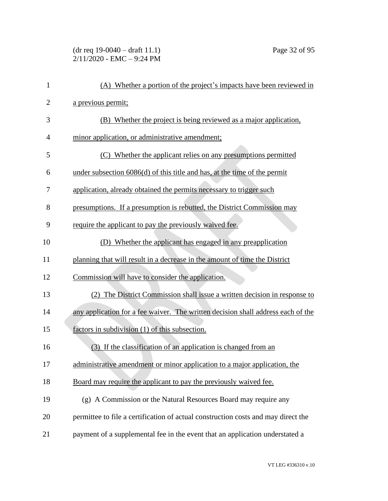(dr req 19-0040 – draft 11.1) Page 32 of 95  $2/11/2020$  - EMC - 9:24 PM

| $\mathbf{1}$   | (A) Whether a portion of the project's impacts have been reviewed in              |
|----------------|-----------------------------------------------------------------------------------|
| $\overline{2}$ | a previous permit;                                                                |
| 3              | (B) Whether the project is being reviewed as a major application,                 |
| $\overline{4}$ | minor application, or administrative amendment;                                   |
| 5              | (C) Whether the applicant relies on any presumptions permitted                    |
| 6              | under subsection $6086(d)$ of this title and has, at the time of the permit       |
| 7              | application, already obtained the permits necessary to trigger such               |
| 8              | presumptions. If a presumption is rebutted, the District Commission may           |
| 9              | require the applicant to pay the previously waived fee.                           |
| 10             | (D) Whether the applicant has engaged in any preapplication                       |
| 11             | planning that will result in a decrease in the amount of time the District        |
| 12             | Commission will have to consider the application.                                 |
| 13             | (2) The District Commission shall issue a written decision in response to         |
| 14             | any application for a fee waiver. The written decision shall address each of the  |
| 15             | factors in subdivision (1) of this subsection.                                    |
| 16             | (3) If the classification of an application is changed from an                    |
| 17             | administrative amendment or minor application to a major application, the         |
| 18             | Board may require the applicant to pay the previously waived fee.                 |
| 19             | (g) A Commission or the Natural Resources Board may require any                   |
| 20             | permittee to file a certification of actual construction costs and may direct the |
| 21             | payment of a supplemental fee in the event that an application understated a      |
|                |                                                                                   |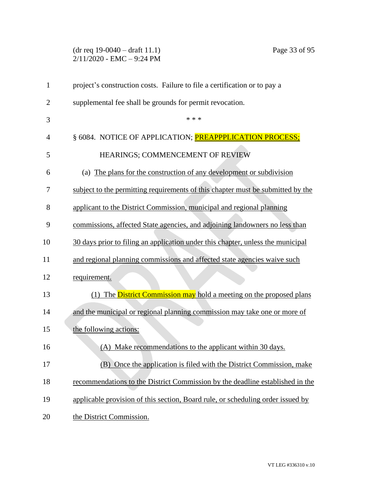# (dr req 19-0040 – draft 11.1) Page 33 of 95 2/11/2020 - EMC – 9:24 PM

| $\mathbf{1}$   | project's construction costs. Failure to file a certification or to pay a       |
|----------------|---------------------------------------------------------------------------------|
| $\overline{2}$ | supplemental fee shall be grounds for permit revocation.                        |
| 3              | * * *                                                                           |
| $\overline{4}$ | § 6084. NOTICE OF APPLICATION; <b>PREAPPPLICATION PROCESS;</b>                  |
| 5              | HEARINGS; COMMENCEMENT OF REVIEW                                                |
| 6              | (a) The plans for the construction of any development or subdivision            |
| 7              | subject to the permitting requirements of this chapter must be submitted by the |
| 8              | applicant to the District Commission, municipal and regional planning           |
| 9              | commissions, affected State agencies, and adjoining landowners no less than     |
| 10             | 30 days prior to filing an application under this chapter, unless the municipal |
| 11             | and regional planning commissions and affected state agencies waive such        |
| 12             | requirement.                                                                    |
| 13             | The District Commission may hold a meeting on the proposed plans<br>(1)         |
| 14             | and the municipal or regional planning commission may take one or more of       |
| 15             | the following actions:                                                          |
| 16             | (A) Make recommendations to the applicant within 30 days.                       |
| 17             | (B) Once the application is filed with the District Commission, make            |
| 18             | recommendations to the District Commission by the deadline established in the   |
| 19             | applicable provision of this section, Board rule, or scheduling order issued by |
| 20             | the District Commission.                                                        |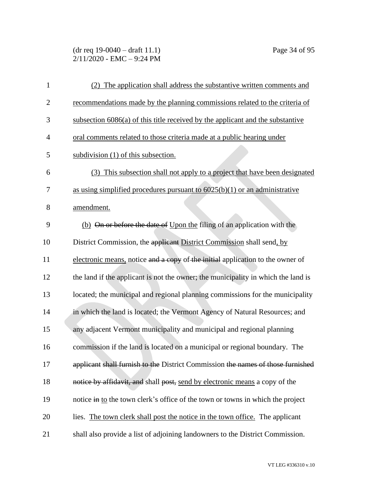(dr req 19-0040 – draft 11.1) Page 34 of 95 2/11/2020 - EMC – 9:24 PM

| 1              | (2) The application shall address the substantive written comments and            |
|----------------|-----------------------------------------------------------------------------------|
| $\overline{2}$ | recommendations made by the planning commissions related to the criteria of       |
| 3              | subsection $6086(a)$ of this title received by the applicant and the substantive  |
| $\overline{4}$ | oral comments related to those criteria made at a public hearing under            |
| 5              | subdivision (1) of this subsection.                                               |
| 6              | This subsection shall not apply to a project that have been designated<br>(3)     |
| 7              | as using simplified procedures pursuant to $6025(b)(1)$ or an administrative      |
| 8              | amendment.                                                                        |
| 9              | (b) On or before the date of Upon the filing of an application with the           |
| 10             | District Commission, the applicant District Commission shall send, by             |
| 11             | electronic means, notice and a copy of the initial application to the owner of    |
| 12             | the land if the applicant is not the owner; the municipality in which the land is |
| 13             | located; the municipal and regional planning commissions for the municipality     |
| 14             | in which the land is located; the Vermont Agency of Natural Resources; and        |
| 15             | any adjacent Vermont municipality and municipal and regional planning             |
| 16             | commission if the land is located on a municipal or regional boundary. The        |
| 17             | applicant shall furnish to the District Commission the names of those furnished   |
| 18             | notice by affidavit, and shall post, send by electronic means a copy of the       |
| 19             | notice in to the town clerk's office of the town or towns in which the project    |
| 20             | lies. The town clerk shall post the notice in the town office. The applicant      |
| 21             | shall also provide a list of adjoining landowners to the District Commission.     |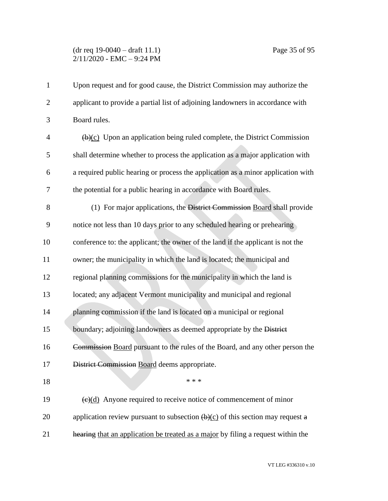## (dr req 19-0040 – draft 11.1) Page 35 of 95 2/11/2020 - EMC – 9:24 PM

| $\mathbf{1}$   | Upon request and for good cause, the District Commission may authorize the                         |
|----------------|----------------------------------------------------------------------------------------------------|
| $\overline{2}$ | applicant to provide a partial list of adjoining landowners in accordance with                     |
| 3              | Board rules.                                                                                       |
| $\overline{4}$ | $\overline{(b)(c)}$ Upon an application being ruled complete, the District Commission              |
| 5              | shall determine whether to process the application as a major application with                     |
| 6              | a required public hearing or process the application as a minor application with                   |
| 7              | the potential for a public hearing in accordance with Board rules.                                 |
| 8              | (1) For major applications, the District Commission Board shall provide                            |
| 9              | notice not less than 10 days prior to any scheduled hearing or prehearing                          |
| 10             | conference to: the applicant; the owner of the land if the applicant is not the                    |
| 11             | owner; the municipality in which the land is located; the municipal and                            |
| 12             | regional planning commissions for the municipality in which the land is                            |
| 13             | located; any adjacent Vermont municipality and municipal and regional                              |
| 14             | planning commission if the land is located on a municipal or regional                              |
| 15             | boundary; adjoining landowners as deemed appropriate by the District                               |
| 16             | Commission Board pursuant to the rules of the Board, and any other person the                      |
| 17             | District Commission Board deems appropriate.                                                       |
| 18             | $* * *$                                                                                            |
| 19             | $\left(\frac{e}{d}\right)$ Anyone required to receive notice of commencement of minor              |
| 20             | application review pursuant to subsection $\left(\frac{b}{c}\right)$ of this section may request a |
| 21             | hearing that an application be treated as a major by filing a request within the                   |
|                |                                                                                                    |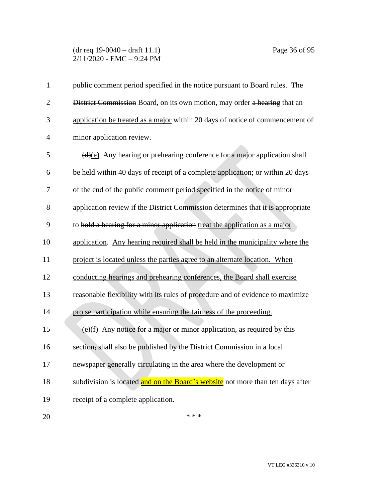## (dr req 19-0040 – draft 11.1) Page 36 of 95 2/11/2020 - EMC – 9:24 PM

| 1              | public comment period specified in the notice pursuant to Board rules. The                  |
|----------------|---------------------------------------------------------------------------------------------|
| $\overline{2}$ | District Commission Board, on its own motion, may order a hearing that an                   |
| 3              | application be treated as a major within 20 days of notice of commencement of               |
| 4              | minor application review.                                                                   |
| 5              | $\frac{d}{e}$ Any hearing or prehearing conference for a major application shall            |
| 6              | be held within 40 days of receipt of a complete application; or within 20 days              |
| 7              | of the end of the public comment period specified in the notice of minor                    |
| 8              | application review if the District Commission determines that it is appropriate             |
| 9              | to hold a hearing for a minor application treat the application as a major                  |
| 10             | application. Any hearing required shall be held in the municipality where the               |
| 11             | project is located unless the parties agree to an alternate location. When                  |
| 12             | conducting hearings and prehearing conferences, the Board shall exercise                    |
| 13             | reasonable flexibility with its rules of procedure and of evidence to maximize              |
| 14             | pro se participation while ensuring the fairness of the proceeding.                         |
| 15             | $\left(\frac{e}{f}\right)$ Any notice for a major or minor application, as required by this |
| 16             | section, shall also be published by the District Commission in a local                      |
| 17             | newspaper generally circulating in the area where the development or                        |
| 18             | subdivision is located and on the Board's website not more than ten days after              |
| 19             | receipt of a complete application.                                                          |
| 20             | * * *                                                                                       |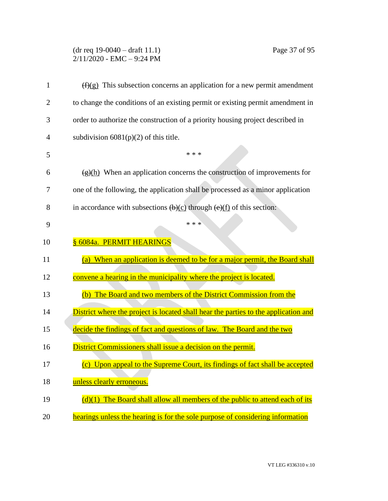## (dr req 19-0040 – draft 11.1) Page 37 of 95 2/11/2020 - EMC – 9:24 PM

| 1              | $(f)(g)$ This subsection concerns an application for a new permit amendment                                   |
|----------------|---------------------------------------------------------------------------------------------------------------|
| $\overline{2}$ | to change the conditions of an existing permit or existing permit amendment in                                |
| 3              | order to authorize the construction of a priority housing project described in                                |
| 4              | subdivision $6081(p)(2)$ of this title.                                                                       |
| 5              | * * *                                                                                                         |
| 6              | $\frac{g(h)}{h}$ When an application concerns the construction of improvements for                            |
| 7              | one of the following, the application shall be processed as a minor application                               |
| 8              | in accordance with subsections $\left(\frac{b}{c}\right)$ through $\left(\frac{e}{f}\right)$ of this section: |
| 9              | * * *                                                                                                         |
| 10             | § 6084a. PERMIT HEARINGS                                                                                      |
| 11             | (a) When an application is deemed to be for a major permit, the Board shall                                   |
| 12             | convene a hearing in the municipality where the project is located.                                           |
| 13             | (b) The Board and two members of the District Commission from the                                             |
| 14             | District where the project is located shall hear the parties to the application and                           |
| 15             | decide the findings of fact and questions of law. The Board and the two                                       |
| 16             | District Commissioners shall issue a decision on the permit.                                                  |
| 17             | (c) Upon appeal to the Supreme Court, its findings of fact shall be accepted                                  |
| 18             | unless clearly erroneous.                                                                                     |
| 19             | $(d)(1)$ The Board shall allow all members of the public to attend each of its                                |
| 20             | hearings unless the hearing is for the sole purpose of considering information                                |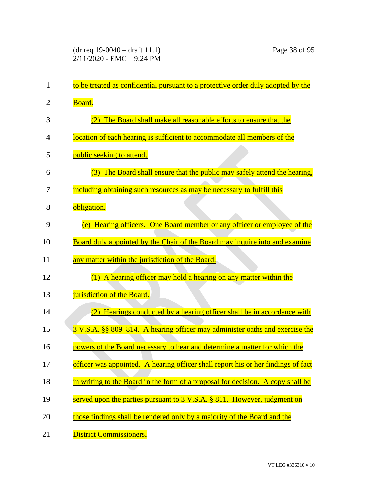| 1  | to be treated as confidential pursuant to a protective order duly adopted by the  |
|----|-----------------------------------------------------------------------------------|
| 2  | Board.                                                                            |
| 3  | The Board shall make all reasonable efforts to ensure that the<br>(2)             |
| 4  | location of each hearing is sufficient to accommodate all members of the          |
| 5  | public seeking to attend.                                                         |
| 6  | (3) The Board shall ensure that the public may safely attend the hearing,         |
| 7  | including obtaining such resources as may be necessary to fulfill this            |
| 8  | obligation.                                                                       |
| 9  | (e) Hearing officers. One Board member or any officer or employee of the          |
| 10 | Board duly appointed by the Chair of the Board may inquire into and examine       |
| 11 | any matter within the jurisdiction of the Board.                                  |
| 12 | (1) A hearing officer may hold a hearing on any matter within the                 |
| 13 | jurisdiction of the Board.                                                        |
| 14 | (2) Hearings conducted by a hearing officer shall be in accordance with           |
| 15 | 3 V.S.A. §§ 809–814. A hearing officer may administer oaths and exercise the      |
| 16 | powers of the Board necessary to hear and determine a matter for which the        |
| 17 | officer was appointed. A hearing officer shall report his or her findings of fact |
| 18 | in writing to the Board in the form of a proposal for decision. A copy shall be   |
| 19 | served upon the parties pursuant to 3 V.S.A. § 811. However, judgment on          |
| 20 | those findings shall be rendered only by a majority of the Board and the          |
| 21 | <b>District Commissioners.</b>                                                    |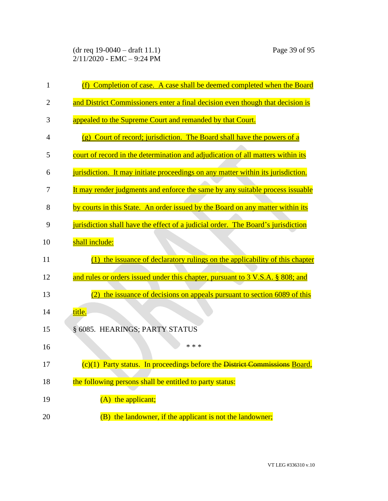(dr req 19-0040 – draft 11.1) Page 39 of 95 2/11/2020 - EMC – 9:24 PM

| $\mathbf{1}$   | (f) Completion of case. A case shall be deemed completed when the Board          |
|----------------|----------------------------------------------------------------------------------|
| $\overline{2}$ | and District Commissioners enter a final decision even though that decision is   |
| 3              | appealed to the Supreme Court and remanded by that Court.                        |
| 4              | (g) Court of record; jurisdiction. The Board shall have the powers of a          |
| 5              | court of record in the determination and adjudication of all matters within its  |
| 6              | jurisdiction. It may initiate proceedings on any matter within its jurisdiction. |
| 7              | It may render judgments and enforce the same by any suitable process issuable    |
| 8              | by courts in this State. An order issued by the Board on any matter within its   |
| 9              | jurisdiction shall have the effect of a judicial order. The Board's jurisdiction |
| 10             | shall include:                                                                   |
| 11             | (1) the issuance of declaratory rulings on the applicability of this chapter     |
| 12             | and rules or orders issued under this chapter, pursuant to 3 V.S.A. § 808; and   |
| 13             | the issuance of decisions on appeals pursuant to section 6089 of this            |
| 14             | title.                                                                           |
| 15             | § 6085. HEARINGS; PARTY STATUS                                                   |
| 16             | * * *                                                                            |
| 17             | (c)(1) Party status. In proceedings before the District Commissions Board,       |
| 18             | the following persons shall be entitled to party status:                         |
| 19             | (A) the applicant;                                                               |
| 20             | (B) the landowner, if the applicant is not the landowner;                        |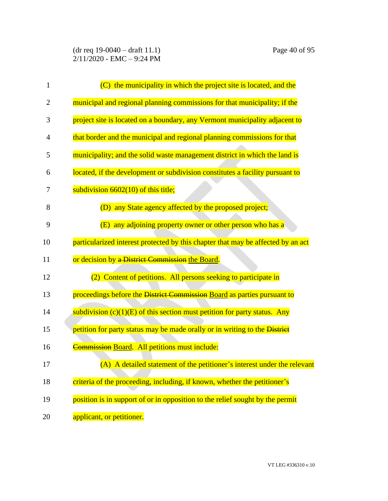| $\mathbf{1}$   | (C) the municipality in which the project site is located, and the               |
|----------------|----------------------------------------------------------------------------------|
| $\overline{2}$ | municipal and regional planning commissions for that municipality; if the        |
| 3              | project site is located on a boundary, any Vermont municipality adjacent to      |
| 4              | that border and the municipal and regional planning commissions for that         |
| 5              | municipality; and the solid waste management district in which the land is       |
| 6              | located, if the development or subdivision constitutes a facility pursuant to    |
| 7              | subdivision $6602(10)$ of this title;                                            |
| 8              | (D) any State agency affected by the proposed project;                           |
| 9              | (E) any adjoining property owner or other person who has a                       |
| 10             | particularized interest protected by this chapter that may be affected by an act |
| 11             | or decision by a District Commission the Board.                                  |
| 12             | (2) Content of petitions. All persons seeking to participate in                  |
| 13             | proceedings before the District Commission Board as parties pursuant to          |
| 14             | subdivision $(c)(1)(E)$ of this section must petition for party status. Any      |
| 15             | petition for party status may be made orally or in writing to the District       |
| 16             | Commission Board. All petitions must include:                                    |
| 17             | (A) A detailed statement of the petitioner's interest under the relevant         |
| 18             | criteria of the proceeding, including, if known, whether the petitioner's        |
| 19             | position is in support of or in opposition to the relief sought by the permit    |
| 20             | applicant, or petitioner.                                                        |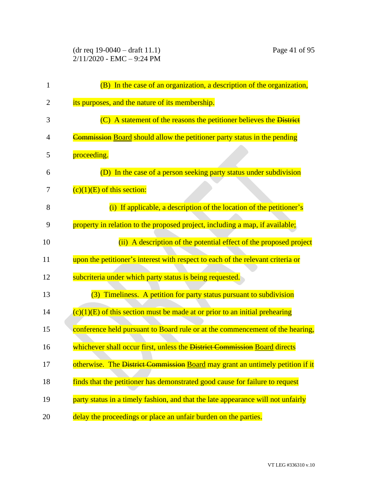(dr req 19-0040 – draft 11.1) Page 41 of 95 2/11/2020 - EMC – 9:24 PM

| 1  | (B) In the case of an organization, a description of the organization,           |
|----|----------------------------------------------------------------------------------|
| 2  | its purposes, and the nature of its membership.                                  |
| 3  | (C) A statement of the reasons the petitioner believes the District              |
| 4  | <b>Commission Board should allow the petitioner party status in the pending</b>  |
| 5  | proceeding.                                                                      |
| 6  | (D) In the case of a person seeking party status under subdivision               |
| 7  | $(c)(1)(E)$ of this section:                                                     |
| 8  | (i) If applicable, a description of the location of the petitioner's             |
| 9  | property in relation to the proposed project, including a map, if available;     |
| 10 | (ii) A description of the potential effect of the proposed project               |
| 11 | upon the petitioner's interest with respect to each of the relevant criteria or  |
| 12 | subcriteria under which party status is being requested.                         |
| 13 | (3) Timeliness. A petition for party status pursuant to subdivision              |
| 14 | $(c)(1)(E)$ of this section must be made at or prior to an initial prehearing    |
| 15 | conference held pursuant to Board rule or at the commencement of the hearing,    |
| 16 | whichever shall occur first, unless the District Commission Board directs        |
| 17 | otherwise. The District Commission Board may grant an untimely petition if it    |
| 18 | finds that the petitioner has demonstrated good cause for failure to request     |
| 19 | party status in a timely fashion, and that the late appearance will not unfairly |
| 20 | delay the proceedings or place an unfair burden on the parties.                  |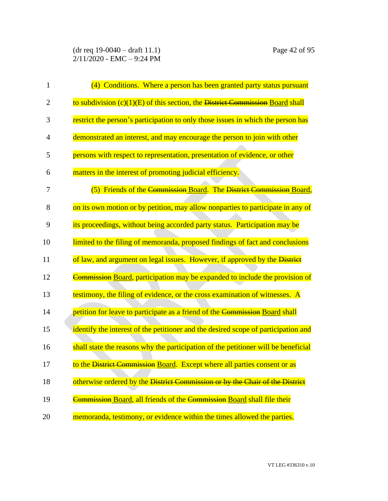| $\mathbf{1}$   | (4) Conditions. Where a person has been granted party status pursuant              |
|----------------|------------------------------------------------------------------------------------|
| $\overline{2}$ | to subdivision $(c)(1)(E)$ of this section, the District Commission Board shall    |
| 3              | restrict the person's participation to only those issues in which the person has   |
| 4              | demonstrated an interest, and may encourage the person to join with other          |
| 5              | persons with respect to representation, presentation of evidence, or other         |
| 6              | matters in the interest of promoting judicial efficiency.                          |
| 7              | (5) Friends of the Commission Board. The District Commission Board,                |
| 8              | on its own motion or by petition, may allow nonparties to participate in any of    |
| 9              | its proceedings, without being accorded party status. Participation may be         |
| 10             | limited to the filing of memoranda, proposed findings of fact and conclusions      |
| 11             | of law, and argument on legal issues. However, if approved by the District         |
| 12             | Commission Board, participation may be expanded to include the provision of        |
| 13             | testimony, the filing of evidence, or the cross examination of witnesses. A        |
| 14             | petition for leave to participate as a friend of the Commission Board shall        |
| 15             | identify the interest of the petitioner and the desired scope of participation and |
| 16             | shall state the reasons why the participation of the petitioner will be beneficial |
| 17             | to the District Commission Board. Except where all parties consent or as           |
| 18             | otherwise ordered by the District Commission or by the Chair of the District       |
| 19             | Commission Board, all friends of the Commission Board shall file their             |
| 20             | memoranda, testimony, or evidence within the times allowed the parties.            |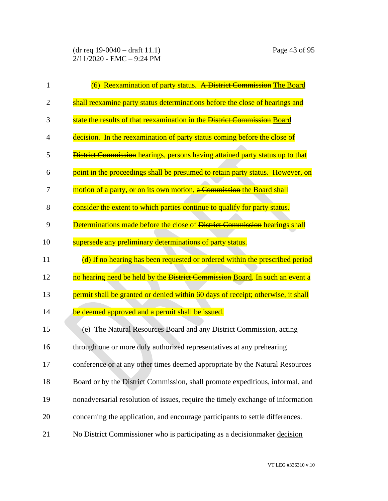| $\mathbf{1}$ | (6) Reexamination of party status. A District Commission The Board                    |
|--------------|---------------------------------------------------------------------------------------|
| 2            | shall reexamine party status determinations before the close of hearings and          |
| 3            | state the results of that reexamination in the District Commission Board              |
| 4            | decision. In the reexamination of party status coming before the close of             |
| 5            | <b>District Commission</b> hearings, persons having attained party status up to that  |
| 6            | point in the proceedings shall be presumed to retain party status. However, on        |
| 7            | motion of a party, or on its own motion, a Commission the Board shall                 |
| 8            | consider the extent to which parties continue to qualify for party status.            |
| 9            | Determinations made before the close of <del>District Commission</del> hearings shall |
| 10           | supersede any preliminary determinations of party status.                             |
| 11           | (d) If no hearing has been requested or ordered within the prescribed period          |
| 12           | no hearing need be held by the District Commission Board. In such an event a          |
| 13           | permit shall be granted or denied within 60 days of receipt; otherwise, it shall      |
| 14           | be deemed approved and a permit shall be issued.                                      |
| 15           | (e) The Natural Resources Board and any District Commission, acting                   |
| 16           | through one or more duly authorized representatives at any prehearing                 |
| 17           | conference or at any other times deemed appropriate by the Natural Resources          |
| 18           | Board or by the District Commission, shall promote expeditious, informal, and         |
| 19           | nonadversarial resolution of issues, require the timely exchange of information       |
| 20           | concerning the application, and encourage participants to settle differences.         |
| 21           | No District Commissioner who is participating as a decision maker decision            |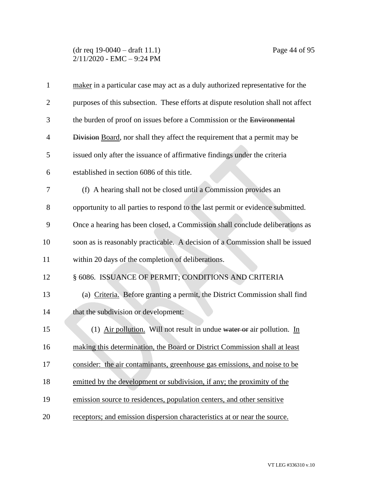### (dr req 19-0040 – draft 11.1) Page 44 of 95 2/11/2020 - EMC – 9:24 PM

| $\mathbf{1}$   | maker in a particular case may act as a duly authorized representative for the    |
|----------------|-----------------------------------------------------------------------------------|
| $\overline{2}$ | purposes of this subsection. These efforts at dispute resolution shall not affect |
| 3              | the burden of proof on issues before a Commission or the Environmental            |
| $\overline{4}$ | Division Board, nor shall they affect the requirement that a permit may be        |
| 5              | issued only after the issuance of affirmative findings under the criteria         |
| 6              | established in section 6086 of this title.                                        |
| 7              | (f) A hearing shall not be closed until a Commission provides an                  |
| 8              | opportunity to all parties to respond to the last permit or evidence submitted.   |
| 9              | Once a hearing has been closed, a Commission shall conclude deliberations as      |
| 10             | soon as is reasonably practicable. A decision of a Commission shall be issued     |
| 11             | within 20 days of the completion of deliberations.                                |
| 12             | § 6086. ISSUANCE OF PERMIT; CONDITIONS AND CRITERIA                               |
| 13             | (a) Criteria. Before granting a permit, the District Commission shall find        |
| 14             | that the subdivision or development:                                              |
| 15             | (1) Air pollution. Will not result in undue water or air pollution. In            |
| 16             | making this determination, the Board or District Commission shall at least        |
| 17             | consider: the air contaminants, greenhouse gas emissions, and noise to be         |
| 18             | emitted by the development or subdivision, if any; the proximity of the           |
| 19             | emission source to residences, population centers, and other sensitive            |
| 20             | receptors; and emission dispersion characteristics at or near the source.         |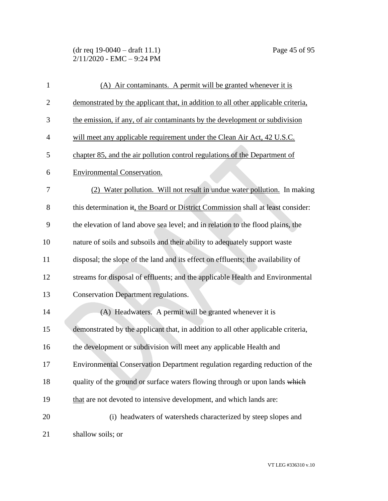(dr req 19-0040 – draft 11.1) Page 45 of 95  $2/11/2020$  - EMC - 9:24 PM

| $\mathbf{1}$ | (A) Air contaminants. A permit will be granted whenever it is                     |
|--------------|-----------------------------------------------------------------------------------|
| $\mathbf{2}$ | demonstrated by the applicant that, in addition to all other applicable criteria, |
| 3            | the emission, if any, of air contaminants by the development or subdivision       |
| 4            | will meet any applicable requirement under the Clean Air Act, 42 U.S.C.           |
| 5            | chapter 85, and the air pollution control regulations of the Department of        |
| 6            | <b>Environmental Conservation.</b>                                                |
| 7            | (2) Water pollution. Will not result in undue water pollution. In making          |
| 8            | this determination it, the Board or District Commission shall at least consider:  |
| 9            | the elevation of land above sea level; and in relation to the flood plains, the   |
| 10           | nature of soils and subsoils and their ability to adequately support waste        |
| 11           | disposal; the slope of the land and its effect on effluents; the availability of  |
| 12           | streams for disposal of effluents; and the applicable Health and Environmental    |
| 13           | <b>Conservation Department regulations.</b>                                       |
| 14           | (A) Headwaters. A permit will be granted whenever it is                           |
| 15           | demonstrated by the applicant that, in addition to all other applicable criteria, |
| 16           | the development or subdivision will meet any applicable Health and                |
| 17           | Environmental Conservation Department regulation regarding reduction of the       |
| 18           | quality of the ground or surface waters flowing through or upon lands which       |
| 19           | that are not devoted to intensive development, and which lands are:               |
| 20           | (i) headwaters of watersheds characterized by steep slopes and                    |
| 21           | shallow soils; or                                                                 |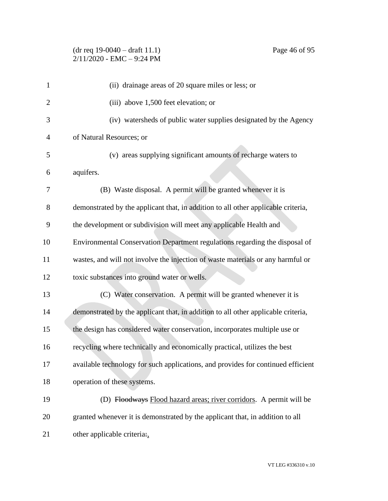# (dr req 19-0040 – draft 11.1) Page 46 of 95  $2/11/2020$  - EMC - 9:24 PM

| $\mathbf{1}$   | (ii) drainage areas of 20 square miles or less; or                                |
|----------------|-----------------------------------------------------------------------------------|
| 2              | (iii) above 1,500 feet elevation; or                                              |
| 3              | (iv) watersheds of public water supplies designated by the Agency                 |
| $\overline{4}$ | of Natural Resources; or                                                          |
| 5              | (v) areas supplying significant amounts of recharge waters to                     |
| 6              | aquifers.                                                                         |
| 7              | (B) Waste disposal. A permit will be granted whenever it is                       |
| 8              | demonstrated by the applicant that, in addition to all other applicable criteria, |
| 9              | the development or subdivision will meet any applicable Health and                |
| 10             | Environmental Conservation Department regulations regarding the disposal of       |
| 11             | wastes, and will not involve the injection of waste materials or any harmful or   |
| 12             | toxic substances into ground water or wells.                                      |
| 13             | (C) Water conservation. A permit will be granted whenever it is                   |
| 14             | demonstrated by the applicant that, in addition to all other applicable criteria, |
| 15             | the design has considered water conservation, incorporates multiple use or        |
| 16             | recycling where technically and economically practical, utilizes the best         |
| 17             | available technology for such applications, and provides for continued efficient  |
| 18             | operation of these systems.                                                       |
| 19             | (D) Floodways Flood hazard areas; river corridors. A permit will be               |

 granted whenever it is demonstrated by the applicant that, in addition to all 21 other applicable criteria: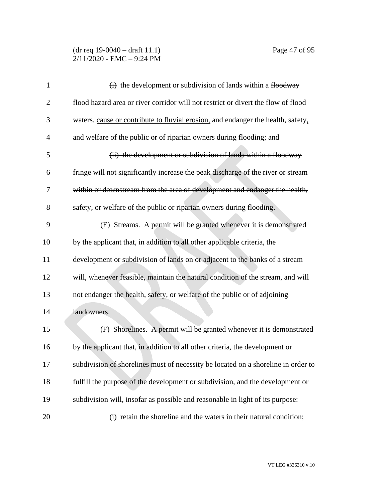## (dr req 19-0040 – draft 11.1) Page 47 of 95 2/11/2020 - EMC – 9:24 PM

| $\mathbf{1}$   | $\overrightarrow{H}$ the development or subdivision of lands within a flood way   |
|----------------|-----------------------------------------------------------------------------------|
| $\overline{c}$ | flood hazard area or river corridor will not restrict or divert the flow of flood |
| 3              | waters, cause or contribute to fluvial erosion, and endanger the health, safety,  |
| 4              | and welfare of the public or of riparian owners during flooding; and              |
| 5              | (ii) the development or subdivision of lands within a floodway                    |
| 6              | fringe will not significantly increase the peak discharge of the river or stream  |
| 7              | within or downstream from the area of development and endanger the health,        |
| 8              | safety, or welfare of the public or riparian owners during flooding.              |
| 9              | (E) Streams. A permit will be granted whenever it is demonstrated                 |
| 10             | by the applicant that, in addition to all other applicable criteria, the          |
| 11             | development or subdivision of lands on or adjacent to the banks of a stream       |
| 12             | will, whenever feasible, maintain the natural condition of the stream, and will   |
| 13             | not endanger the health, safety, or welfare of the public or of adjoining         |
| 14             | landowners.                                                                       |
| 15             | (F) Shorelines. A permit will be granted whenever it is demonstrated              |
| 16             | by the applicant that, in addition to all other criteria, the development or      |
| 17             | subdivision of shorelines must of necessity be located on a shoreline in order to |
| 18             | fulfill the purpose of the development or subdivision, and the development or     |
| 19             | subdivision will, insofar as possible and reasonable in light of its purpose:     |
| 20             | (i) retain the shoreline and the waters in their natural condition;               |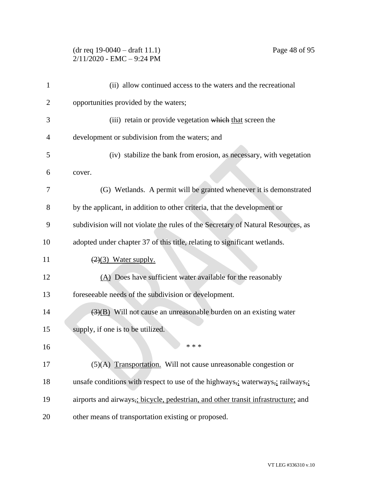## (dr req 19-0040 – draft 11.1) Page 48 of 95 2/11/2020 - EMC – 9:24 PM

| 1  | (ii) allow continued access to the waters and the recreational                   |
|----|----------------------------------------------------------------------------------|
| 2  | opportunities provided by the waters;                                            |
| 3  | (iii) retain or provide vegetation which that screen the                         |
| 4  | development or subdivision from the waters; and                                  |
| 5  | (iv) stabilize the bank from erosion, as necessary, with vegetation              |
| 6  | cover.                                                                           |
| 7  | (G) Wetlands. A permit will be granted whenever it is demonstrated               |
| 8  | by the applicant, in addition to other criteria, that the development or         |
| 9  | subdivision will not violate the rules of the Secretary of Natural Resources, as |
| 10 | adopted under chapter 37 of this title, relating to significant wetlands.        |
| 11 | $(2)(3)$ Water supply.                                                           |
| 12 | (A) Does have sufficient water available for the reasonably                      |
| 13 | foreseeable needs of the subdivision or development.                             |
| 14 | $\overline{(3)(B)}$ Will not cause an unreasonable burden on an existing water   |
| 15 | supply, if one is to be utilized.                                                |
| 16 | * * *                                                                            |
| 17 | $(5)(A)$ Transportation. Will not cause unreasonable congestion or               |
| 18 | unsafe conditions with respect to use of the highways,; waterways,; railways,;   |
| 19 | airports and airways, bicycle, pedestrian, and other transit infrastructure; and |
| 20 | other means of transportation existing or proposed.                              |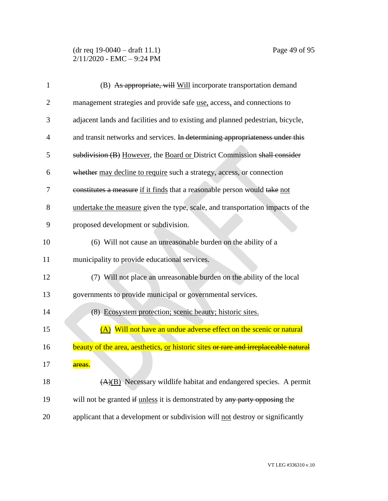## (dr req 19-0040 – draft 11.1) Page 49 of 95  $2/11/2020$  - EMC - 9:24 PM

| $\mathbf{1}$   | (B) As appropriate, will Will incorporate transportation demand                     |
|----------------|-------------------------------------------------------------------------------------|
| $\overline{2}$ | management strategies and provide safe <u>use</u> , access, and connections to      |
| 3              | adjacent lands and facilities and to existing and planned pedestrian, bicycle,      |
| 4              | and transit networks and services. In determining appropriateness under this        |
| 5              | subdivision (B) However, the Board or District Commission shall consider            |
| 6              | whether may decline to require such a strategy, access, or connection               |
| 7              | constitutes a measure if it finds that a reasonable person would take not           |
| 8              | undertake the measure given the type, scale, and transportation impacts of the      |
| 9              | proposed development or subdivision.                                                |
| 10             | (6) Will not cause an unreasonable burden on the ability of a                       |
| 11             | municipality to provide educational services.                                       |
| 12             | (7) Will not place an unreasonable burden on the ability of the local               |
| 13             | governments to provide municipal or governmental services.                          |
| 14             | (8) Ecosystem protection; scenic beauty; historic sites.                            |
| 15             | (A) Will not have an undue adverse effect on the scenic or natural                  |
| 16             | beauty of the area, aesthetics, or historic sites or rare and irreplaceable natural |
| 17             | <del>areas</del> .                                                                  |
| 18             | (A)(B) Necessary wildlife habitat and endangered species. A permit                  |
| 19             | will not be granted if unless it is demonstrated by any party opposing the          |
| 20             | applicant that a development or subdivision will not destroy or significantly       |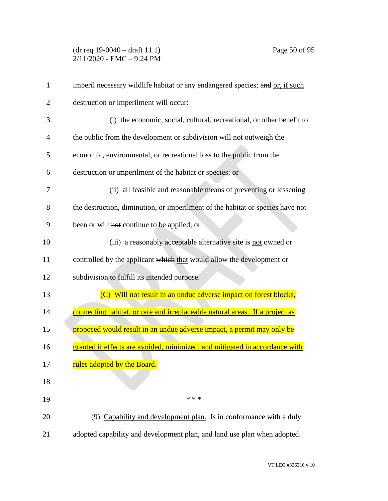## (dr req 19-0040 – draft 11.1) Page 50 of 95 2/11/2020 - EMC – 9:24 PM

| $\mathbf{1}$ | imperil necessary wildlife habitat or any endangered species; and or, if such  |
|--------------|--------------------------------------------------------------------------------|
| 2            | destruction or imperilment will occur:                                         |
| 3            | (i) the economic, social, cultural, recreational, or other benefit to          |
| 4            | the public from the development or subdivision will not outweigh the           |
| 5            | economic, environmental, or recreational loss to the public from the           |
| 6            | destruction or imperilment of the habitat or species; or                       |
| 7            | (ii) all feasible and reasonable means of preventing or lessening              |
| 8            | the destruction, diminution, or imperilment of the habitat or species have not |
| 9            | been or will not continue to be applied; or                                    |
| 10           | (iii) a reasonably acceptable alternative site is not owned or                 |
| 11           | controlled by the applicant which that would allow the development or          |
| 12           | subdivision to fulfill its intended purpose.                                   |
| 13           | (C) Will not result in an undue adverse impact on forest blocks,               |
| 14           | connecting habitat, or rare and irreplaceable natural areas. If a project as   |
| 15           | <u>proposed would result in an undue adverse impact, a permit may only be</u>  |
| 16           | granted if effects are avoided, minimized, and mitigated in accordance with    |
| 17           | rules adopted by the Board.                                                    |
| 18           |                                                                                |
| 19           | * * *                                                                          |
| 20           | (9) Capability and development plan. Is in conformance with a duly             |
| 21           | adopted capability and development plan, and land use plan when adopted.       |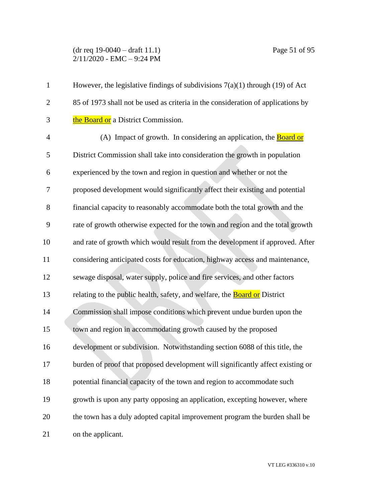(dr req 19-0040 – draft 11.1) Page 51 of 95 2/11/2020 - EMC – 9:24 PM

| $\mathbf{1}$   | However, the legislative findings of subdivisions $7(a)(1)$ through (19) of Act  |
|----------------|----------------------------------------------------------------------------------|
| $\overline{2}$ | 85 of 1973 shall not be used as criteria in the consideration of applications by |
| 3              | the Board or a District Commission.                                              |
| 4              | (A) Impact of growth. In considering an application, the <b>Board or</b>         |
| 5              | District Commission shall take into consideration the growth in population       |
| 6              | experienced by the town and region in question and whether or not the            |
| 7              | proposed development would significantly affect their existing and potential     |
| 8              | financial capacity to reasonably accommodate both the total growth and the       |
| 9              | rate of growth otherwise expected for the town and region and the total growth   |
| 10             | and rate of growth which would result from the development if approved. After    |
| 11             | considering anticipated costs for education, highway access and maintenance,     |
| 12             | sewage disposal, water supply, police and fire services, and other factors       |
| 13             | relating to the public health, safety, and welfare, the <b>Board or</b> District |
| 14             | Commission shall impose conditions which prevent undue burden upon the           |
| 15             | town and region in accommodating growth caused by the proposed                   |
| 16             | development or subdivision. Notwithstanding section 6088 of this title, the      |
| 17             | burden of proof that proposed development will significantly affect existing or  |
| 18             | potential financial capacity of the town and region to accommodate such          |
| 19             | growth is upon any party opposing an application, excepting however, where       |
| 20             | the town has a duly adopted capital improvement program the burden shall be      |
| 21             | on the applicant.                                                                |

VT LEG #336310 v.10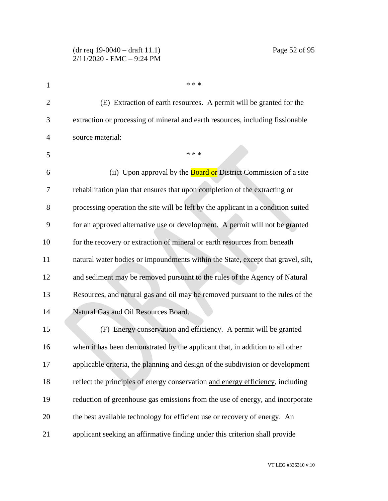| 1              | * * *                                                                             |
|----------------|-----------------------------------------------------------------------------------|
| $\overline{2}$ | (E) Extraction of earth resources. A permit will be granted for the               |
| 3              | extraction or processing of mineral and earth resources, including fissionable    |
| $\overline{4}$ | source material:                                                                  |
| 5              | * * *                                                                             |
| 6              | (ii) Upon approval by the <b>Board or</b> District Commission of a site           |
| 7              | rehabilitation plan that ensures that upon completion of the extracting or        |
| 8              | processing operation the site will be left by the applicant in a condition suited |
| 9              | for an approved alternative use or development. A permit will not be granted      |
| 10             | for the recovery or extraction of mineral or earth resources from beneath         |
| 11             | natural water bodies or impoundments within the State, except that gravel, silt,  |
| 12             | and sediment may be removed pursuant to the rules of the Agency of Natural        |
| 13             | Resources, and natural gas and oil may be removed pursuant to the rules of the    |
| 14             | Natural Gas and Oil Resources Board.                                              |
| 15             | (F) Energy conservation and efficiency. A permit will be granted                  |
| 16             | when it has been demonstrated by the applicant that, in addition to all other     |
| 17             | applicable criteria, the planning and design of the subdivision or development    |
| 18             | reflect the principles of energy conservation and energy efficiency, including    |
| 19             | reduction of greenhouse gas emissions from the use of energy, and incorporate     |
| 20             | the best available technology for efficient use or recovery of energy. An         |
| 21             | applicant seeking an affirmative finding under this criterion shall provide       |

VT LEG #336310 v.10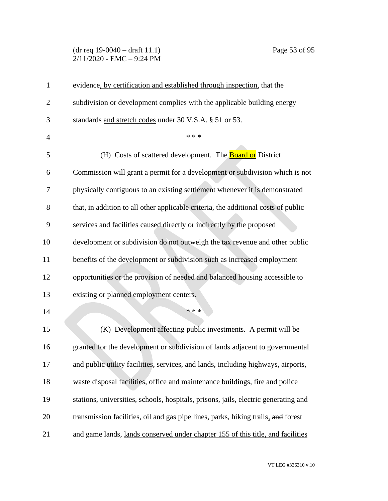#### (dr req 19-0040 – draft 11.1) Page 53 of 95 2/11/2020 - EMC – 9:24 PM

| $\mathbf{1}$   | evidence, by certification and established through inspection, that the             |
|----------------|-------------------------------------------------------------------------------------|
| $\overline{2}$ | subdivision or development complies with the applicable building energy             |
| 3              | standards and stretch codes under 30 V.S.A. § 51 or 53.                             |
| $\overline{4}$ | * * *                                                                               |
| 5              | (H) Costs of scattered development. The <b>Board or</b> District                    |
| 6              | Commission will grant a permit for a development or subdivision which is not        |
| 7              | physically contiguous to an existing settlement whenever it is demonstrated         |
| 8              | that, in addition to all other applicable criteria, the additional costs of public  |
| 9              | services and facilities caused directly or indirectly by the proposed               |
| 10             | development or subdivision do not outweigh the tax revenue and other public         |
| 11             | benefits of the development or subdivision such as increased employment             |
| 12             | opportunities or the provision of needed and balanced housing accessible to         |
| 13             | existing or planned employment centers.                                             |
| 14             | * * *                                                                               |
| 15             | (K) Development affecting public investments. A permit will be                      |
| 16             | granted for the development or subdivision of lands adjacent to governmental        |
| 17             | and public utility facilities, services, and lands, including highways, airports,   |
| 18             | waste disposal facilities, office and maintenance buildings, fire and police        |
| 19             | stations, universities, schools, hospitals, prisons, jails, electric generating and |
| 20             | transmission facilities, oil and gas pipe lines, parks, hiking trails, and forest   |
| 21             | and game lands, lands conserved under chapter 155 of this title, and facilities     |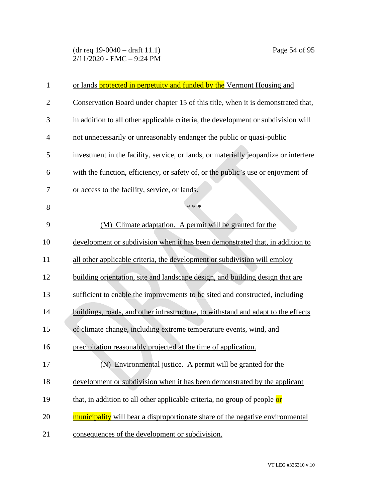## (dr req 19-0040 – draft 11.1) Page 54 of 95 2/11/2020 - EMC – 9:24 PM

| $\mathbf{1}$   | or lands protected in perpetuity and funded by the Vermont Housing and               |
|----------------|--------------------------------------------------------------------------------------|
| $\overline{2}$ | Conservation Board under chapter 15 of this title, when it is demonstrated that,     |
| 3              | in addition to all other applicable criteria, the development or subdivision will    |
| $\overline{4}$ | not unnecessarily or unreasonably endanger the public or quasi-public                |
| 5              | investment in the facility, service, or lands, or materially jeopardize or interfere |
| 6              | with the function, efficiency, or safety of, or the public's use or enjoyment of     |
| 7              | or access to the facility, service, or lands.                                        |
| 8              | * * *                                                                                |
| 9              | (M) Climate adaptation. A permit will be granted for the                             |
| 10             | development or subdivision when it has been demonstrated that, in addition to        |
| 11             | all other applicable criteria, the development or subdivision will employ            |
| 12             | building orientation, site and landscape design, and building design that are        |
| 13             | sufficient to enable the improvements to be sited and constructed, including         |
| 14             | buildings, roads, and other infrastructure, to withstand and adapt to the effects    |
| 15             | of climate change, including extreme temperature events, wind, and                   |
| 16             | precipitation reasonably projected at the time of application.                       |
| 17             | (N) Environmental justice. A permit will be granted for the                          |
| 18             | development or subdivision when it has been demonstrated by the applicant            |
| 19             | that, in addition to all other applicable criteria, no group of people or            |
| 20             | municipality will bear a disproportionate share of the negative environmental        |
| 21             | consequences of the development or subdivision.                                      |
|                |                                                                                      |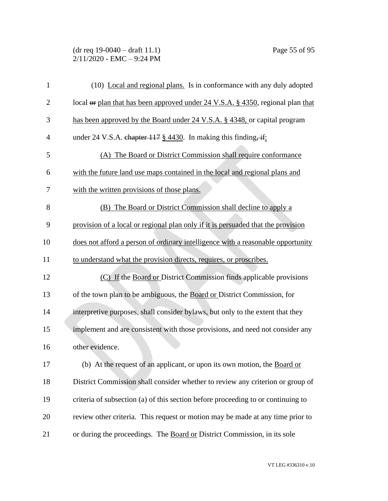#### (dr req 19-0040 – draft 11.1) Page 55 of 95 2/11/2020 - EMC – 9:24 PM

| $\mathbf{1}$   | (10) Local and regional plans. Is in conformance with any duly adopted                     |
|----------------|--------------------------------------------------------------------------------------------|
| $\mathbf{2}$   | local or plan that has been approved under 24 V.S.A. § 4350, regional plan that            |
| 3              | has been approved by the Board under 24 V.S.A. § 4348, or capital program                  |
| $\overline{4}$ | under 24 V.S.A. chapter $117 \frac{\text{g}}{\text{g}} 4430$ . In making this finding, if: |
| 5              | (A) The Board or District Commission shall require conformance                             |
| 6              | with the future land use maps contained in the local and regional plans and                |
| 7              | with the written provisions of those plans.                                                |
| 8              | (B) The Board or District Commission shall decline to apply a                              |
| 9              | provision of a local or regional plan only if it is persuaded that the provision           |
| 10             | does not afford a person of ordinary intelligence with a reasonable opportunity            |
| 11             | to understand what the provision directs, requires, or proscribes.                         |
| 12             | (C) If the Board or District Commission finds applicable provisions                        |
| 13             | of the town plan to be ambiguous, the Board or District Commission, for                    |
| 14             | interpretive purposes, shall consider bylaws, but only to the extent that they             |
| 15             | implement and are consistent with those provisions, and need not consider any              |
| 16             | other evidence.                                                                            |
| 17             | (b) At the request of an applicant, or upon its own motion, the Board or                   |
| 18             | District Commission shall consider whether to review any criterion or group of             |
| 19             | criteria of subsection (a) of this section before proceeding to or continuing to           |
| 20             | review other criteria. This request or motion may be made at any time prior to             |
| 21             | or during the proceedings. The Board or District Commission, in its sole                   |

VT LEG #336310 v.10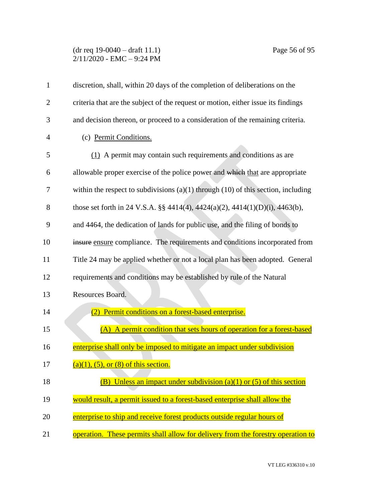# (dr req 19-0040 – draft 11.1) Page 56 of 95 2/11/2020 - EMC – 9:24 PM

| $\mathbf{1}$   | discretion, shall, within 20 days of the completion of deliberations on the           |
|----------------|---------------------------------------------------------------------------------------|
| 2              | criteria that are the subject of the request or motion, either issue its findings     |
| 3              | and decision thereon, or proceed to a consideration of the remaining criteria.        |
| $\overline{4}$ | (c) Permit Conditions.                                                                |
| 5              | (1) A permit may contain such requirements and conditions as are                      |
| 6              | allowable proper exercise of the police power and which that are appropriate          |
| 7              | within the respect to subdivisions $(a)(1)$ through $(10)$ of this section, including |
| 8              | those set forth in 24 V.S.A. §§ 4414(4), 4424(a)(2), 4414(1)(D)(i), 4463(b),          |
| 9              | and 4464, the dedication of lands for public use, and the filing of bonds to          |
| 10             | insure ensure compliance. The requirements and conditions incorporated from           |
| 11             | Title 24 may be applied whether or not a local plan has been adopted. General         |
| 12             | requirements and conditions may be established by rule of the Natural                 |
| 13             | Resources Board.                                                                      |
| 14             | Permit conditions on a forest-based enterprise.<br>(2)                                |
| 15             | (A) A permit condition that sets hours of operation for a forest-based                |
| 16             | enterprise shall only be imposed to mitigate an impact under subdivision              |
| 17             | $(a)(1)$ , $(5)$ , or $(8)$ of this section.                                          |
| 18             | (B) Unless an impact under subdivision (a)(1) or (5) of this section                  |
| 19             | would result, a permit issued to a forest-based enterprise shall allow the            |
| 20             | enterprise to ship and receive forest products outside regular hours of               |
| 21             | operation. These permits shall allow for delivery from the forestry operation to      |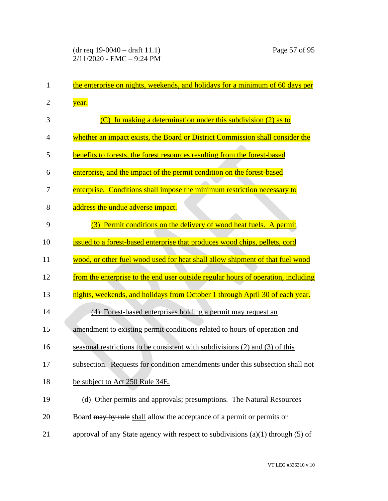| 1              | the enterprise on nights, weekends, and holidays for a minimum of 60 days per     |
|----------------|-----------------------------------------------------------------------------------|
| $\overline{2}$ | year.                                                                             |
| 3              | In making a determination under this subdivision (2) as to                        |
| $\overline{4}$ | whether an impact exists, the Board or District Commission shall consider the     |
| 5              | benefits to forests, the forest resources resulting from the forest-based         |
| 6              | enterprise, and the impact of the permit condition on the forest-based            |
| 7              | enterprise. Conditions shall impose the minimum restriction necessary to          |
| 8              | address the undue adverse impact.                                                 |
| 9              | (3) Permit conditions on the delivery of wood heat fuels. A permit                |
| 10             | issued to a forest-based enterprise that produces wood chips, pellets, cord       |
| 11             | wood, or other fuel wood used for heat shall allow shipment of that fuel wood     |
|                |                                                                                   |
| 12             | from the enterprise to the end user outside regular hours of operation, including |
| 13             | nights, weekends, and holidays from October 1 through April 30 of each year.      |
| 14             | (4) Forest-based enterprises holding a permit may request an                      |
| 15             | amendment to existing permit conditions related to hours of operation and         |
| 16             | seasonal restrictions to be consistent with subdivisions (2) and (3) of this      |
| 17             | subsection. Requests for condition amendments under this subsection shall not     |
| 18             | be subject to Act 250 Rule 34E.                                                   |
| 19             | (d) Other permits and approvals; presumptions. The Natural Resources              |
| 20             | Board may by rule shall allow the acceptance of a permit or permits or            |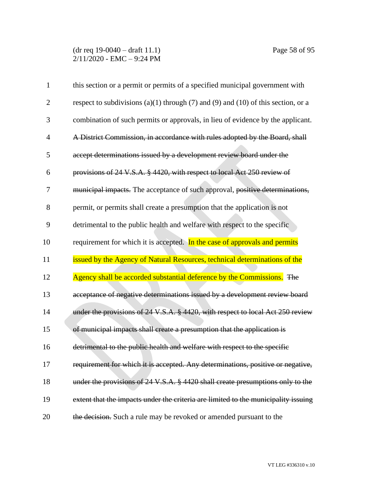(dr req 19-0040 – draft 11.1) Page 58 of 95 2/11/2020 - EMC – 9:24 PM

| $\mathbf{1}$   | this section or a permit or permits of a specified municipal government with       |
|----------------|------------------------------------------------------------------------------------|
| $\overline{2}$ | respect to subdivisions (a)(1) through (7) and (9) and (10) of this section, or a  |
| 3              | combination of such permits or approvals, in lieu of evidence by the applicant.    |
| $\overline{4}$ | A District Commission, in accordance with rules adopted by the Board, shall        |
| 5              | accept determinations issued by a development review board under the               |
| 6              | provisions of 24 V.S.A. § 4420, with respect to local Act 250 review of            |
| 7              | municipal impacts. The acceptance of such approval, positive determinations,       |
| 8              | permit, or permits shall create a presumption that the application is not          |
| 9              | detrimental to the public health and welfare with respect to the specific          |
| 10             | requirement for which it is accepted. In the case of approvals and permits         |
| 11             | issued by the Agency of Natural Resources, technical determinations of the         |
| 12             | Agency shall be accorded substantial deference by the Commissions. The             |
| 13             | acceptance of negative determinations issued by a development review board         |
| 14             | under the provisions of 24 V.S.A. § 4420, with respect to local Act 250 review     |
| 15             | of municipal impacts shall create a presumption that the application is            |
| 16             | detrimental to the public health and welfare with respect to the specific          |
| 17             | requirement for which it is accepted. Any determinations, positive or negative,    |
| 18             | under the provisions of 24 V.S.A. § 4420 shall create presumptions only to the     |
| 19             | extent that the impacts under the criteria are limited to the municipality issuing |
| 20             | the decision. Such a rule may be revoked or amended pursuant to the                |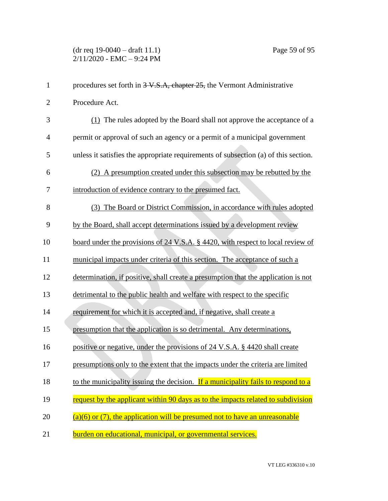| $\mathbf{1}$   | procedures set forth in 3-V.S.A, chapter 25, the Vermont Administrative             |
|----------------|-------------------------------------------------------------------------------------|
| $\overline{2}$ | Procedure Act.                                                                      |
| 3              | (1) The rules adopted by the Board shall not approve the acceptance of a            |
| $\overline{4}$ | permit or approval of such an agency or a permit of a municipal government          |
| 5              | unless it satisfies the appropriate requirements of subsection (a) of this section. |
| 6              | (2) A presumption created under this subsection may be rebutted by the              |
| 7              | introduction of evidence contrary to the presumed fact.                             |
| 8              | (3) The Board or District Commission, in accordance with rules adopted              |
| 9              | by the Board, shall accept determinations issued by a development review            |
| 10             | board under the provisions of 24 V.S.A. § 4420, with respect to local review of     |
| 11             | municipal impacts under criteria of this section. The acceptance of such a          |
| 12             | determination, if positive, shall create a presumption that the application is not  |
| 13             | detrimental to the public health and welfare with respect to the specific           |
| 14             | requirement for which it is accepted and, if negative, shall create a               |
| 15             | presumption that the application is so detrimental. Any determinations,             |
| 16             | positive or negative, under the provisions of 24 V.S.A. § 4420 shall create         |
| 17             | presumptions only to the extent that the impacts under the criteria are limited     |
| 18             | to the municipality issuing the decision. If a municipality fails to respond to a   |
| 19             | request by the applicant within 90 days as to the impacts related to subdivision    |
| 20             | $(a)(6)$ or (7), the application will be presumed not to have an unreasonable       |
| 21             | burden on educational, municipal, or governmental services.                         |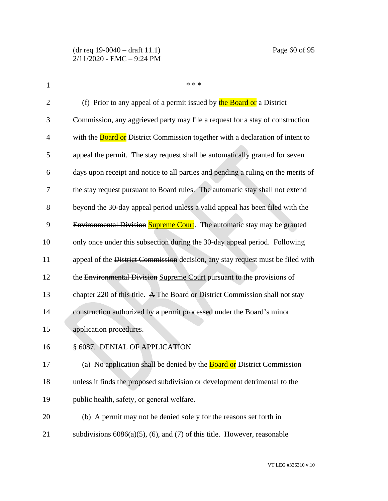| $\mathbf{1}$   | * * *                                                                                 |
|----------------|---------------------------------------------------------------------------------------|
| $\overline{2}$ | (f) Prior to any appeal of a permit issued by the Board or a District                 |
| 3              | Commission, any aggrieved party may file a request for a stay of construction         |
| 4              | with the <b>Board or</b> District Commission together with a declaration of intent to |
| 5              | appeal the permit. The stay request shall be automatically granted for seven          |
| 6              | days upon receipt and notice to all parties and pending a ruling on the merits of     |
| 7              | the stay request pursuant to Board rules. The automatic stay shall not extend         |
| 8              | beyond the 30-day appeal period unless a valid appeal has been filed with the         |
| 9              | Environmental Division Supreme Court. The automatic stay may be granted               |
| 10             | only once under this subsection during the 30-day appeal period. Following            |
| 11             | appeal of the District Commission decision, any stay request must be filed with       |
| 12             | the Environmental Division Supreme Court pursuant to the provisions of                |
| 13             | chapter 220 of this title. A The Board or District Commission shall not stay          |
| 14             | construction authorized by a permit processed under the Board's minor                 |
| 15             | application procedures.                                                               |
| 16             | § 6087. DENIAL OF APPLICATION                                                         |
| 17             | (a) No application shall be denied by the <b>Board or</b> District Commission         |
| 18             | unless it finds the proposed subdivision or development detrimental to the            |
| 19             | public health, safety, or general welfare.                                            |
| 20             | (b) A permit may not be denied solely for the reasons set forth in                    |
| 21             | subdivisions $6086(a)(5)$ , (6), and (7) of this title. However, reasonable           |
|                |                                                                                       |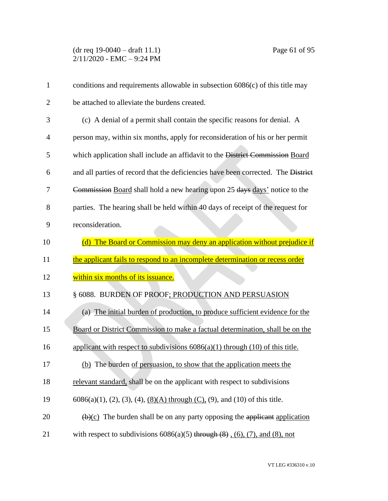(dr req 19-0040 – draft 11.1) Page 61 of 95 2/11/2020 - EMC – 9:24 PM

| $\mathbf{1}$   | conditions and requirements allowable in subsection $6086(c)$ of this title may                |
|----------------|------------------------------------------------------------------------------------------------|
| $\overline{2}$ | be attached to alleviate the burdens created.                                                  |
| 3              | (c) A denial of a permit shall contain the specific reasons for denial. A                      |
| $\overline{4}$ | person may, within six months, apply for reconsideration of his or her permit                  |
| 5              | which application shall include an affidavit to the District Commission Board                  |
| 6              | and all parties of record that the deficiencies have been corrected. The District              |
| 7              | Commission Board shall hold a new hearing upon 25 days days' notice to the                     |
| 8              | parties. The hearing shall be held within 40 days of receipt of the request for                |
| 9              | reconsideration.                                                                               |
| 10             | (d) The Board or Commission may deny an application without prejudice if                       |
|                | the applicant fails to respond to an incomplete determination or recess order                  |
| 11             |                                                                                                |
| 12             | within six months of its issuance.                                                             |
| 13             | § 6088. BURDEN OF PROOF; PRODUCTION AND PERSUASION                                             |
| 14             | (a) The initial burden of production, to produce sufficient evidence for the                   |
| 15             | Board or District Commission to make a factual determination, shall be on the                  |
| 16             | applicant with respect to subdivisions $6086(a)(1)$ through $(10)$ of this title.              |
| 17             | (b) The burden of persuasion, to show that the application meets the                           |
| 18             | relevant standard, shall be on the applicant with respect to subdivisions                      |
| 19             | $6086(a)(1)$ , (2), (3), (4), <u>(8)(A)</u> through (C), (9), and (10) of this title.          |
| 20             | $\left(\frac{b}{c}\right)$ The burden shall be on any party opposing the applicant application |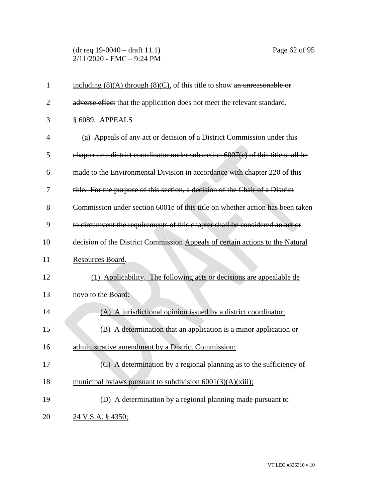(dr req 19-0040 – draft 11.1) Page 62 of 95 2/11/2020 - EMC – 9:24 PM

| $\mathbf{1}$   | including $(8)(A)$ through $(8)(C)$ , of this title to show an unreasonable or    |
|----------------|-----------------------------------------------------------------------------------|
| $\overline{2}$ | adverse effect that the application does not meet the relevant standard.          |
| 3              | § 6089. APPEALS                                                                   |
| $\overline{4}$ | (a) Appeals of any act or decision of a District Commission under this            |
| 5              | chapter or a district coordinator under subsection 6007(c) of this title shall be |
| 6              | made to the Environmental Division in accordance with chapter 220 of this         |
| 7              | title. For the purpose of this section, a decision of the Chair of a District     |
| 8              | Commission under section 6001e of this title on whether action has been taken     |
| 9              | to circumvent the requirements of this chapter shall be considered an act or      |
| 10             | decision of the District Commission Appeals of certain actions to the Natural     |
| 11             | Resources Board.                                                                  |
| 12             | (1) Applicability. The following acts or decisions are appealable de              |
| 13             | novo to the Board:                                                                |
| 14             | (A) A jurisdictional opinion issued by a district coordinator;                    |
| 15             | (B) A determination that an application is a minor application or                 |
| 16             | administrative amendment by a District Commission;                                |
| 17             | (C) A determination by a regional planning as to the sufficiency of               |
| 18             | municipal bylaws pursuant to subdivision $6001(3)(A)(xiii)$ ;                     |
| 19             | (D) A determination by a regional planning made pursuant to                       |
| 20             | <u>24 V.S.A. § 4350;</u>                                                          |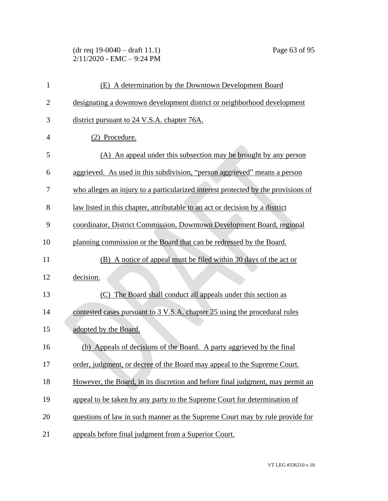## (dr req 19-0040 – draft 11.1) Page 63 of 95 2/11/2020 - EMC – 9:24 PM

| $\mathbf{1}$   | (E) A determination by the Downtown Development Board                             |
|----------------|-----------------------------------------------------------------------------------|
| $\overline{2}$ | designating a downtown development district or neighborhood development           |
| 3              | district pursuant to 24 V.S.A. chapter 76A.                                       |
| 4              | (2) Procedure.                                                                    |
| 5              | (A) An appeal under this subsection may be brought by any person                  |
| 6              | aggrieved. As used in this subdivision, "person aggrieved" means a person         |
| 7              | who alleges an injury to a particularized interest protected by the provisions of |
| 8              | law listed in this chapter, attributable to an act or decision by a district      |
| 9              | coordinator, District Commission, Downtown Development Board, regional            |
| 10             | planning commission or the Board that can be redressed by the Board.              |
| 11             | (B) A notice of appeal must be filed within 30 days of the act or                 |
| 12             | decision.                                                                         |
| 13             | The Board shall conduct all appeals under this section as<br>(C)                  |
| 14             | contested cases pursuant to 3 V.S.A. chapter 25 using the procedural rules        |
| 15             | adopted by the Board.                                                             |
| 16             | (b) Appeals of decisions of the Board. A party aggrieved by the final             |
| 17             | order, judgment, or decree of the Board may appeal to the Supreme Court.          |
| 18             | However, the Board, in its discretion and before final judgment, may permit an    |
| 19             | appeal to be taken by any party to the Supreme Court for determination of         |
| 20             | questions of law in such manner as the Supreme Court may by rule provide for      |
| 21             | appeals before final judgment from a Superior Court.                              |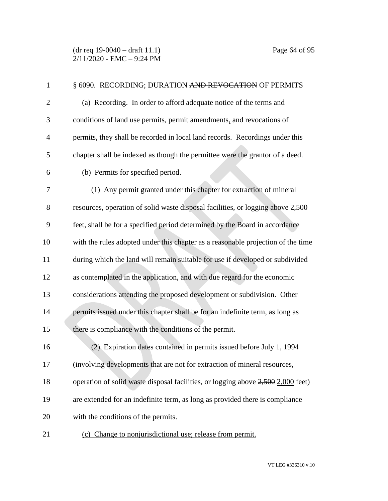| $\mathbf{1}$   | § 6090. RECORDING; DURATION AND REVOCATION OF PERMITS                            |
|----------------|----------------------------------------------------------------------------------|
| $\overline{2}$ | (a) Recording. In order to afford adequate notice of the terms and               |
| 3              | conditions of land use permits, permit amendments, and revocations of            |
| $\overline{4}$ | permits, they shall be recorded in local land records. Recordings under this     |
| 5              | chapter shall be indexed as though the permittee were the grantor of a deed.     |
| 6              | (b) Permits for specified period.                                                |
| 7              | (1) Any permit granted under this chapter for extraction of mineral              |
| 8              | resources, operation of solid waste disposal facilities, or logging above 2,500  |
| 9              | feet, shall be for a specified period determined by the Board in accordance      |
| 10             | with the rules adopted under this chapter as a reasonable projection of the time |
| 11             | during which the land will remain suitable for use if developed or subdivided    |
| 12             | as contemplated in the application, and with due regard for the economic         |
| 13             | considerations attending the proposed development or subdivision. Other          |
| 14             | permits issued under this chapter shall be for an indefinite term, as long as    |
| 15             | there is compliance with the conditions of the permit.                           |
| 16             | (2) Expiration dates contained in permits issued before July 1, 1994             |
| 17             | (involving developments that are not for extraction of mineral resources,        |
| 18             | operation of solid waste disposal facilities, or logging above 2,500 2,000 feet) |
| 19             | are extended for an indefinite term, as long as provided there is compliance     |
| 20             | with the conditions of the permits.                                              |
| 21             | (c) Change to nonjurisdictional use; release from permit.                        |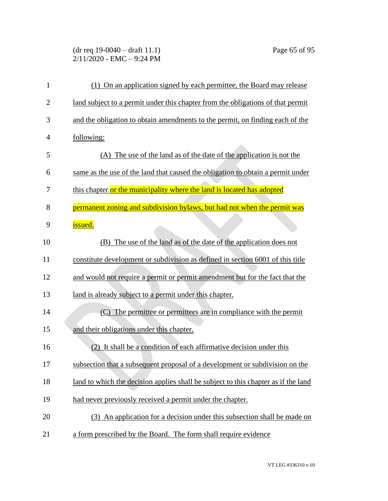## (dr req 19-0040 – draft 11.1) Page 65 of 95 2/11/2020 - EMC – 9:24 PM

| $\mathbf{1}$   | (1) On an application signed by each permittee, the Board may release              |
|----------------|------------------------------------------------------------------------------------|
| $\overline{2}$ | land subject to a permit under this chapter from the obligations of that permit    |
| 3              | and the obligation to obtain amendments to the permit, on finding each of the      |
| 4              | following:                                                                         |
| 5              | (A) The use of the land as of the date of the application is not the               |
| 6              | same as the use of the land that caused the obligation to obtain a permit under    |
| 7              | this chapter or the municipality where the land is located has adopted             |
| 8              | permanent zoning and subdivision bylaws, but had not when the permit was           |
| 9              | issued.                                                                            |
| 10             | (B) The use of the land as of the date of the application does not                 |
| 11             | constitute development or subdivision as defined in section 6001 of this title     |
| 12             | and would not require a permit or permit amendment but for the fact that the       |
| 13             | land is already subject to a permit under this chapter.                            |
| 14             | The permittee or permittees are in compliance with the permit<br>(C)               |
| 15             | and their obligations under this chapter.                                          |
| 16             | (2) It shall be a condition of each affirmative decision under this                |
| 17             | subsection that a subsequent proposal of a development or subdivision on the       |
| 18             | land to which the decision applies shall be subject to this chapter as if the land |
| 19             | had never previously received a permit under the chapter.                          |
| 20             | (3) An application for a decision under this subsection shall be made on           |
| 21             | a form prescribed by the Board. The form shall require evidence                    |
|                |                                                                                    |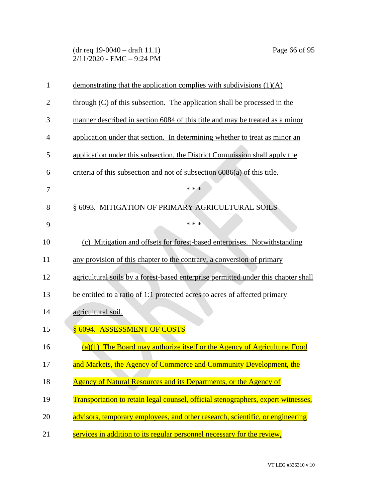(dr req 19-0040 – draft 11.1) Page 66 of 95 2/11/2020 - EMC – 9:24 PM

| $\mathbf{1}$   | demonstrating that the application complies with subdivisions $(1)(A)$             |
|----------------|------------------------------------------------------------------------------------|
| $\overline{2}$ | through (C) of this subsection. The application shall be processed in the          |
| 3              | manner described in section 6084 of this title and may be treated as a minor       |
| 4              | application under that section. In determining whether to treat as minor an        |
| 5              | application under this subsection, the District Commission shall apply the         |
| 6              | criteria of this subsection and not of subsection 6086(a) of this title.           |
| 7              | * * *                                                                              |
| 8              | § 6093. MITIGATION OF PRIMARY AGRICULTURAL SOILS                                   |
| 9              | * * *                                                                              |
| 10             | (c) Mitigation and offsets for forest-based enterprises. Notwithstanding           |
| 11             | any provision of this chapter to the contrary, a conversion of primary             |
| 12             | agricultural soils by a forest-based enterprise permitted under this chapter shall |
| 13             | be entitled to a ratio of 1:1 protected acres to acres of affected primary         |
| 14             | agricultural soil.                                                                 |
| 15             | § 6094. ASSESSMENT OF COSTS                                                        |
| 16             | $(a)(1)$ The Board may authorize itself or the Agency of Agriculture, Food         |
| 17             | and Markets, the Agency of Commerce and Community Development, the                 |
| 18             | Agency of Natural Resources and its Departments, or the Agency of                  |
| 19             | Transportation to retain legal counsel, official stenographers, expert witnesses,  |
| 20             | advisors, temporary employees, and other research, scientific, or engineering      |
| 21             | services in addition to its regular personnel necessary for the review,            |
|                |                                                                                    |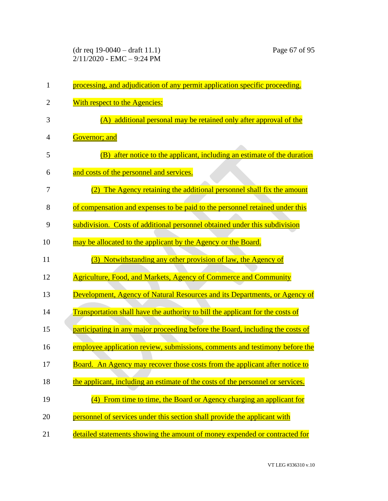| $\mathbf{1}$   | processing, and adjudication of any permit application specific proceeding.     |
|----------------|---------------------------------------------------------------------------------|
| $\overline{2}$ | With respect to the Agencies:                                                   |
| 3              | (A) additional personal may be retained only after approval of the              |
| $\overline{4}$ | Governor; and                                                                   |
| 5              | after notice to the applicant, including an estimate of the duration<br>(B)     |
| 6              | and costs of the personnel and services.                                        |
| 7              | The Agency retaining the additional personnel shall fix the amount              |
| 8              | of compensation and expenses to be paid to the personnel retained under this    |
| 9              | subdivision. Costs of additional personnel obtained under this subdivision      |
| 10             | may be allocated to the applicant by the Agency or the Board.                   |
| 11             | Notwithstanding any other provision of law, the Agency of<br>(3)                |
| 12             | <b>Agriculture, Food, and Markets, Agency of Commerce and Community</b>         |
| 13             | Development, Agency of Natural Resources and its Departments, or Agency of      |
| 14             | Transportation shall have the authority to bill the applicant for the costs of  |
| 15             | participating in any major proceeding before the Board, including the costs of  |
| 16             | employee application review, submissions, comments and testimony before the     |
| 17             | Board. An Agency may recover those costs from the applicant after notice to     |
| 18             | the applicant, including an estimate of the costs of the personnel or services. |
| 19             | From time to time, the Board or Agency charging an applicant for                |
| 20             | personnel of services under this section shall provide the applicant with       |
| 21             | detailed statements showing the amount of money expended or contracted for      |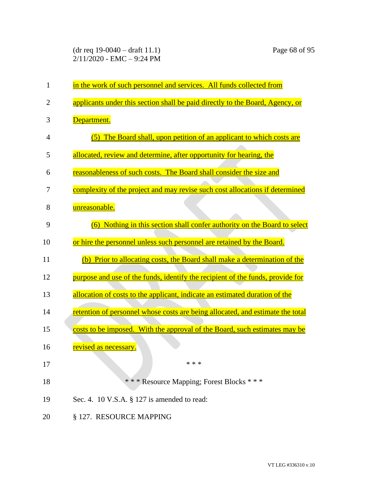(dr req 19-0040 – draft 11.1) Page 68 of 95 2/11/2020 - EMC – 9:24 PM

| 1              | in the work of such personnel and services. All funds collected from           |
|----------------|--------------------------------------------------------------------------------|
| $\overline{2}$ | applicants under this section shall be paid directly to the Board, Agency, or  |
| 3              | Department.                                                                    |
| 4              | (5) The Board shall, upon petition of an applicant to which costs are          |
| 5              | allocated, review and determine, after opportunity for hearing, the            |
| 6              | reasonableness of such costs. The Board shall consider the size and            |
| 7              | complexity of the project and may revise such cost allocations if determined   |
| 8              | unreasonable.                                                                  |
| 9              | (6) Nothing in this section shall confer authority on the Board to select      |
| 10             | or hire the personnel unless such personnel are retained by the Board.         |
| 11             | (b) Prior to allocating costs, the Board shall make a determination of the     |
| 12             | purpose and use of the funds, identify the recipient of the funds, provide for |
| 13             | allocation of costs to the applicant, indicate an estimated duration of the    |
| 14             | retention of personnel whose costs are being allocated, and estimate the total |
| 15             | costs to be imposed. With the approval of the Board, such estimates may be     |
| 16             | <u>revised as necessary.</u>                                                   |
| 17             | * * *                                                                          |
| 18             | *** Resource Mapping; Forest Blocks ***                                        |
| 19             | Sec. 4. 10 V.S.A. § 127 is amended to read:                                    |
| 20             | § 127. RESOURCE MAPPING                                                        |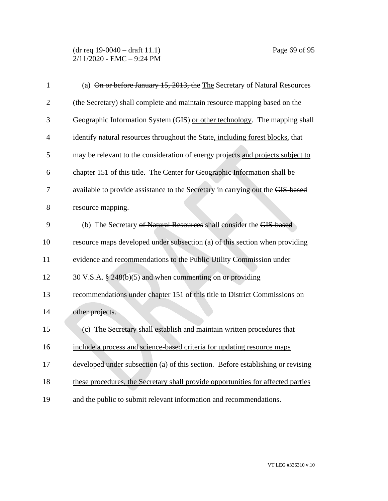| $\mathbf{1}$   | (a) On or before January 15, 2013, the The Secretary of Natural Resources        |
|----------------|----------------------------------------------------------------------------------|
| $\overline{2}$ | (the Secretary) shall complete and maintain resource mapping based on the        |
| 3              | Geographic Information System (GIS) or other technology. The mapping shall       |
| 4              | identify natural resources throughout the State, including forest blocks, that   |
| 5              | may be relevant to the consideration of energy projects and projects subject to  |
| 6              | chapter 151 of this title. The Center for Geographic Information shall be        |
| 7              | available to provide assistance to the Secretary in carrying out the GIS-based   |
| 8              | resource mapping.                                                                |
| 9              | (b) The Secretary of Natural Resources shall consider the GIS-based              |
| 10             | resource maps developed under subsection (a) of this section when providing      |
| 11             | evidence and recommendations to the Public Utility Commission under              |
| 12             | 30 V.S.A. § 248(b)(5) and when commenting on or providing                        |
| 13             | recommendations under chapter 151 of this title to District Commissions on       |
| 14             | other projects.                                                                  |
| 15             | (c) The Secretary shall establish and maintain written procedures that           |
| 16             | include a process and science-based criteria for updating resource maps          |
| 17             | developed under subsection (a) of this section. Before establishing or revising  |
| 18             | these procedures, the Secretary shall provide opportunities for affected parties |
| 19             | and the public to submit relevant information and recommendations.               |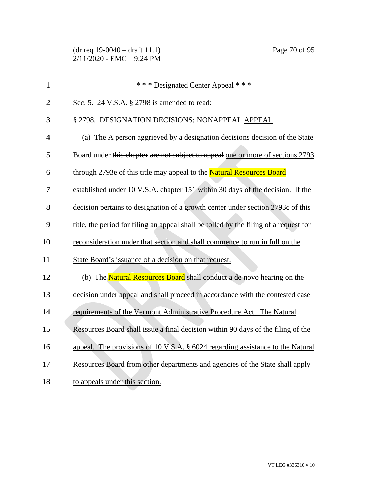| $\mathbf{1}$   | *** Designated Center Appeal ***                                                      |
|----------------|---------------------------------------------------------------------------------------|
| $\overline{2}$ | Sec. 5. 24 V.S.A. § 2798 is amended to read:                                          |
| 3              | § 2798. DESIGNATION DECISIONS; NONAPPEAL APPEAL                                       |
| 4              | (a) The A person aggrieved by a designation decisions decision of the State           |
| 5              | Board under this chapter are not subject to appeal one or more of sections 2793       |
| 6              | through 2793e of this title may appeal to the Natural Resources Board                 |
| 7              | established under 10 V.S.A. chapter 151 within 30 days of the decision. If the        |
| 8              | decision pertains to designation of a growth center under section 2793c of this       |
| 9              | title, the period for filing an appeal shall be tolled by the filing of a request for |
| 10             | reconsideration under that section and shall commence to run in full on the           |
| 11             | State Board's issuance of a decision on that request.                                 |
| 12             | (b) The Natural Resources Board shall conduct a de novo hearing on the                |
| 13             | decision under appeal and shall proceed in accordance with the contested case         |
| 14             | requirements of the Vermont Administrative Procedure Act. The Natural                 |
| 15             | Resources Board shall issue a final decision within 90 days of the filing of the      |
| 16             | appeal. The provisions of 10 V.S.A. $\S$ 6024 regarding assistance to the Natural     |
| 17             | Resources Board from other departments and agencies of the State shall apply          |
| 18             | to appeals under this section.                                                        |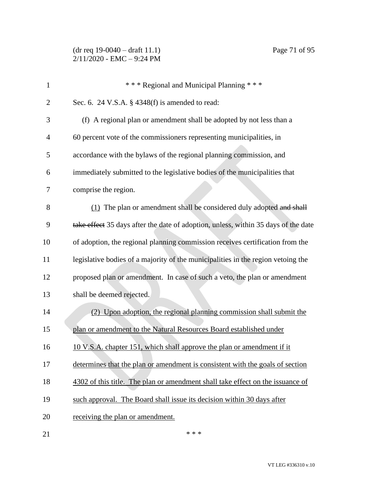(dr req 19-0040 – draft 11.1) Page 71 of 95  $2/11/2020$  - EMC - 9:24 PM

| $\mathbf{1}$   | *** Regional and Municipal Planning ***                                            |
|----------------|------------------------------------------------------------------------------------|
| $\overline{2}$ | Sec. 6. 24 V.S.A. $\S$ 4348(f) is amended to read:                                 |
| 3              | (f) A regional plan or amendment shall be adopted by not less than a               |
| $\overline{4}$ | 60 percent vote of the commissioners representing municipalities, in               |
| 5              | accordance with the bylaws of the regional planning commission, and                |
| 6              | immediately submitted to the legislative bodies of the municipalities that         |
| $\tau$         | comprise the region.                                                               |
| $8\,$          | (1) The plan or amendment shall be considered duly adopted and shall               |
| 9              | take effect 35 days after the date of adoption, unless, within 35 days of the date |
| 10             | of adoption, the regional planning commission receives certification from the      |
| 11             | legislative bodies of a majority of the municipalities in the region vetoing the   |
| 12             | proposed plan or amendment. In case of such a veto, the plan or amendment          |
| 13             | shall be deemed rejected.                                                          |
| 14             | (2) Upon adoption, the regional planning commission shall submit the               |
| 15             | plan or amendment to the Natural Resources Board established under                 |
| 16             | 10 V.S.A. chapter 151, which shall approve the plan or amendment if it             |
| 17             | determines that the plan or amendment is consistent with the goals of section      |
| 18             | 4302 of this title. The plan or amendment shall take effect on the issuance of     |
| 19             | such approval. The Board shall issue its decision within 30 days after             |

20 receiving the plan or amendment.

 $***$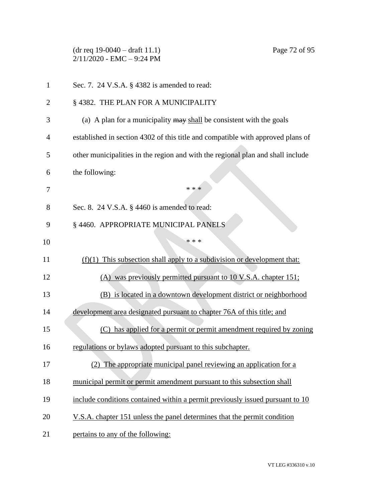(dr req 19-0040 – draft 11.1) Page 72 of 95 2/11/2020 - EMC – 9:24 PM

| $\mathbf{1}$   | Sec. 7. 24 V.S.A. § 4382 is amended to read:                                    |
|----------------|---------------------------------------------------------------------------------|
| $\overline{2}$ | § 4382. THE PLAN FOR A MUNICIPALITY                                             |
| 3              | (a) A plan for a municipality may shall be consistent with the goals            |
| 4              | established in section 4302 of this title and compatible with approved plans of |
| 5              | other municipalities in the region and with the regional plan and shall include |
| 6              | the following:                                                                  |
| 7              | * * *                                                                           |
| 8              | Sec. 8. 24 V.S.A. § 4460 is amended to read:                                    |
| 9              | § 4460. APPROPRIATE MUNICIPAL PANELS                                            |
| 10             | * * *                                                                           |
| 11             | $(f)(1)$ This subsection shall apply to a subdivision or development that:      |
| 12             | (A) was previously permitted pursuant to 10 V.S.A. chapter 151;                 |
| 13             | (B) is located in a downtown development district or neighborhood               |
| 14             | development area designated pursuant to chapter 76A of this title; and          |
| 15             | (C) has applied for a permit or permit amendment required by zoning             |
| 16             | regulations or bylaws adopted pursuant to this subchapter.                      |
| 17             | (2) The appropriate municipal panel reviewing an application for a              |
| 18             | municipal permit or permit amendment pursuant to this subsection shall          |
| 19             | include conditions contained within a permit previously issued pursuant to 10   |
| 20             | V.S.A. chapter 151 unless the panel determines that the permit condition        |
| 21             | pertains to any of the following:                                               |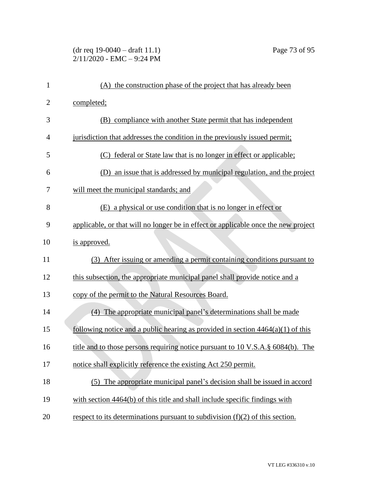## (dr req 19-0040 – draft 11.1) Page 73 of 95 2/11/2020 - EMC – 9:24 PM

| $\mathbf{1}$   | (A) the construction phase of the project that has already been                    |
|----------------|------------------------------------------------------------------------------------|
| $\overline{2}$ | completed;                                                                         |
| 3              | (B) compliance with another State permit that has independent                      |
| 4              | jurisdiction that addresses the condition in the previously issued permit;         |
| 5              | federal or State law that is no longer in effect or applicable;<br>(C)             |
| 6              | (D) an issue that is addressed by municipal regulation, and the project            |
| 7              | will meet the municipal standards; and                                             |
| 8              | (E) a physical or use condition that is no longer in effect or                     |
| 9              | applicable, or that will no longer be in effect or applicable once the new project |
| 10             | is approved.                                                                       |
| 11             | (3) After issuing or amending a permit containing conditions pursuant to           |
| 12             | this subsection, the appropriate municipal panel shall provide notice and a        |
| 13             | copy of the permit to the Natural Resources Board.                                 |
| 14             | (4) The appropriate municipal panel's determinations shall be made                 |
| 15             | following notice and a public hearing as provided in section $4464(a)(1)$ of this  |
| 16             | title and to those persons requiring notice pursuant to 10 V.S.A. § 6084(b). The   |
| 17             | notice shall explicitly reference the existing Act 250 permit.                     |
| 18             | (5) The appropriate municipal panel's decision shall be issued in accord           |
| 19             | with section 4464(b) of this title and shall include specific findings with        |
| 20             | respect to its determinations pursuant to subdivision $(f)(2)$ of this section.    |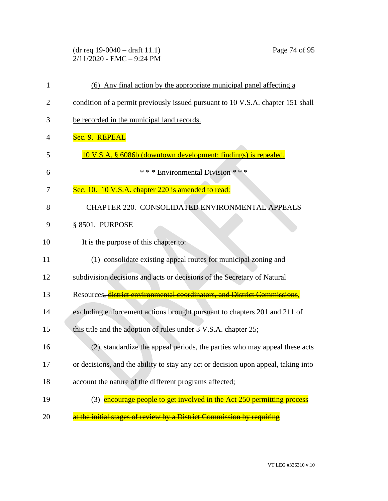(dr req 19-0040 – draft 11.1) Page 74 of 95 2/11/2020 - EMC – 9:24 PM

| 1              | (6) Any final action by the appropriate municipal panel affecting a                |
|----------------|------------------------------------------------------------------------------------|
| $\overline{2}$ | condition of a permit previously issued pursuant to 10 V.S.A. chapter 151 shall    |
| 3              | be recorded in the municipal land records.                                         |
| 4              | Sec. 9. REPEAL                                                                     |
| 5              | 10 V.S.A. § 6086b (downtown development; findings) is repealed.                    |
| 6              | *** Environmental Division ***                                                     |
| 7              | Sec. 10. 10 V.S.A. chapter 220 is amended to read:                                 |
| 8              | CHAPTER 220. CONSOLIDATED ENVIRONMENTAL APPEALS                                    |
| 9              | § 8501. PURPOSE                                                                    |
| 10             | It is the purpose of this chapter to:                                              |
| 11             | (1) consolidate existing appeal routes for municipal zoning and                    |
| 12             | subdivision decisions and acts or decisions of the Secretary of Natural            |
| 13             | Resources, <i>district environmental coordinators, and District Commissions,</i>   |
| 14             | excluding enforcement actions brought pursuant to chapters 201 and 211 of          |
| 15             | this title and the adoption of rules under 3 V.S.A. chapter 25;                    |
| 16             | (2) standardize the appeal periods, the parties who may appeal these acts          |
| 17             | or decisions, and the ability to stay any act or decision upon appeal, taking into |
| 18             | account the nature of the different programs affected;                             |
| 19             | (3) encourage people to get involved in the Act 250 permitting process             |
| 20             | at the initial stages of review by a District Commission by requiring              |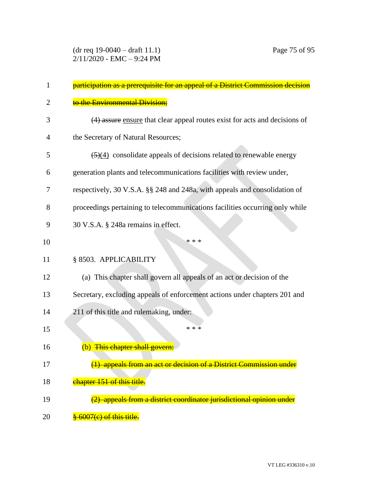| 1  | participation as a prerequisite for an appeal of a District Commission decision         |
|----|-----------------------------------------------------------------------------------------|
| 2  | to the Environmental Division;                                                          |
| 3  | (4) assure ensure that clear appeal routes exist for acts and decisions of              |
| 4  | the Secretary of Natural Resources;                                                     |
| 5  | $\left(\frac{5}{4}\right)$ consolidate appeals of decisions related to renewable energy |
| 6  | generation plants and telecommunications facilities with review under,                  |
| 7  | respectively, 30 V.S.A. §§ 248 and 248a, with appeals and consolidation of              |
| 8  | proceedings pertaining to telecommunications facilities occurring only while            |
| 9  | 30 V.S.A. § 248a remains in effect.                                                     |
| 10 | * * *                                                                                   |
| 11 | § 8503. APPLICABILITY                                                                   |
| 12 | (a) This chapter shall govern all appeals of an act or decision of the                  |
| 13 | Secretary, excluding appeals of enforcement actions under chapters 201 and              |
| 14 | 211 of this title and rulemaking, under:                                                |
| 15 | * * *                                                                                   |
| 16 | (b) This chapter shall govern:                                                          |
| 17 | (1) appeals from an act or decision of a District Commission under                      |
| 18 | chapter 151 of this title.                                                              |
| 19 | (2) appeals from a district coordinator jurisdictional opinion under                    |
| 20 | § 6007(e) of this title.                                                                |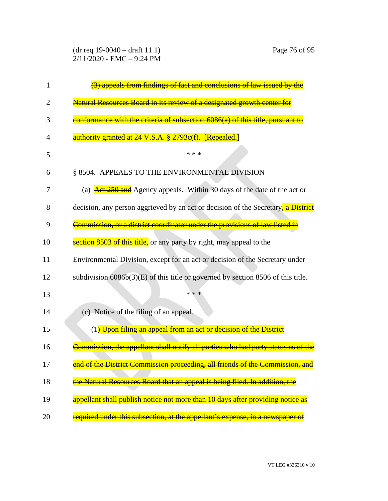(dr req 19-0040 – draft 11.1) Page 76 of 95 2/11/2020 - EMC – 9:24 PM

| 1  | <b>findings of fact and conclusions</b><br><del>law issued by the</del>                                    |
|----|------------------------------------------------------------------------------------------------------------|
| 2  | Natural Resources Board in its review of a designated growth center for                                    |
| 3  | conformance with the criteria of subsection 6086(a) of this title, pursuant to                             |
| 4  | authority granted at 24 V.S.A. § 2793c(f). [Repealed.]                                                     |
| 5  | * * *                                                                                                      |
| 6  | § 8504. APPEALS TO THE ENVIRONMENTAL DIVISION                                                              |
| 7  | (a) $\frac{\text{Act } 250 \text{ and}}{\text{A}$ Agency appeals. Within 30 days of the date of the act or |
| 8  | decision, any person aggrieved by an act or decision of the Secretary <sub>, a</sub> District              |
| 9  | Commission, or a district coordinator under the provisions of law listed in                                |
| 10 | section 8503 of this title, or any party by right, may appeal to the                                       |
| 11 | Environmental Division, except for an act or decision of the Secretary under                               |
| 12 | subdivision $6086b(3)(E)$ of this title or governed by section 8506 of this title.                         |
| 13 | * * *                                                                                                      |
| 14 | (c) Notice of the filing of an appeal.                                                                     |
| 15 | (1) Upon filing an appeal from an act or decision of the District                                          |
| 16 | <u>'ommission, the appellant shall notify all parties who had party status as </u>                         |
| 17 | end of the District Commission proceeding, all friends of the Commission, and                              |
| 18 | the Natural Resources Board that an appeal is being filed. In addition, the                                |
| 19 | appellant shall publish notice not more than 10 days after providing notice as                             |
| 20 | required under this subsection, at the appellant's expense, in a newspaper of                              |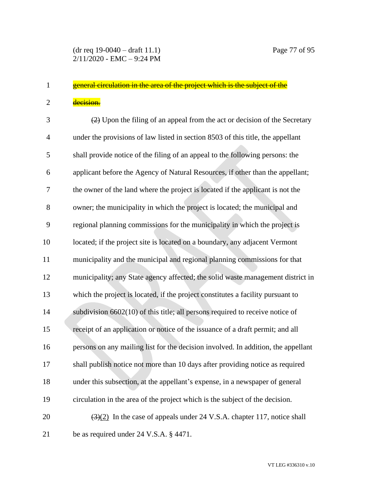## 1 general circulation in the area of the project which is the subject of the 2 decision.

 $\frac{2}{2}$  Upon the filing of an appeal from the act or decision of the Secretary under the provisions of law listed in section 8503 of this title, the appellant shall provide notice of the filing of an appeal to the following persons: the applicant before the Agency of Natural Resources, if other than the appellant; the owner of the land where the project is located if the applicant is not the owner; the municipality in which the project is located; the municipal and regional planning commissions for the municipality in which the project is located; if the project site is located on a boundary, any adjacent Vermont municipality and the municipal and regional planning commissions for that municipality; any State agency affected; the solid waste management district in which the project is located, if the project constitutes a facility pursuant to subdivision 6602(10) of this title; all persons required to receive notice of receipt of an application or notice of the issuance of a draft permit; and all persons on any mailing list for the decision involved. In addition, the appellant shall publish notice not more than 10 days after providing notice as required under this subsection, at the appellant's expense, in a newspaper of general circulation in the area of the project which is the subject of the decision.  $(3)(2)$  In the case of appeals under 24 V.S.A. chapter 117, notice shall be as required under 24 V.S.A. § 4471.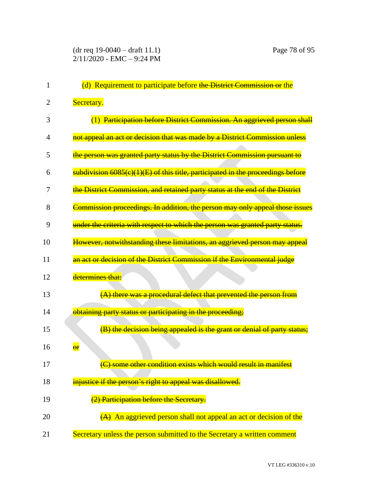| 1  | (d) Requirement to participate before the District Commission or the            |
|----|---------------------------------------------------------------------------------|
| 2  | Secretary.                                                                      |
| 3  | (1) Participation before District Commission. An aggrieved person shall         |
| 4  | not appeal an act or decision that was made by a District Commission unless     |
| 5  | the person was granted party status by the District Commission pursuant to      |
| 6  | subdivision 6085(c)(1)(E) of this title, participated in the proceedings before |
| 7  | the District Commission, and retained party status at the end of the District   |
| 8  | Commission proceedings. In addition, the person may only appeal those issues    |
| 9  | under the criteria with respect to which the person was granted party status.   |
| 10 | However, notwithstanding these limitations, an aggrieved person may appeal      |
| 11 | an act or decision of the District Commission if the Environmental judge        |
| 12 | determines that:                                                                |
| 13 | (A) there was a procedural defect that prevented the person from                |
| 14 | obtaining party status or participating in the proceeding;                      |
| 15 | (B) the decision being appealed is the grant or denial of party status;         |
| 16 | $\overline{\text{or}}$                                                          |
| 17 | (C) some other condition exists which would result in manifest                  |
| 18 | injustice if the person's right to appeal was disallowed.                       |
| 19 | (2) Participation before the Secretary.                                         |
| 20 | $(A)$ An aggrieved person shall not appeal an act or decision of the            |
| 21 | Secretary unless the person submitted to the Secretary a written comment        |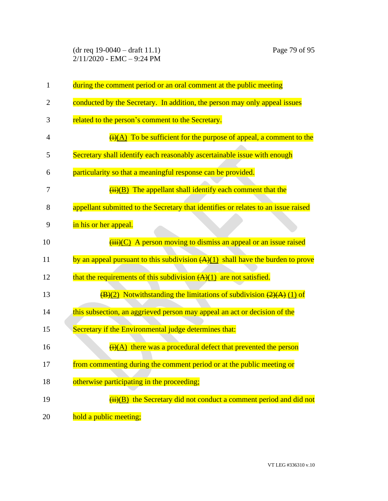(dr req 19-0040 – draft 11.1) Page 79 of 95 2/11/2020 - EMC – 9:24 PM

| $\mathbf{1}$   | during the comment period or an oral comment at the public meeting                                |
|----------------|---------------------------------------------------------------------------------------------------|
| $\overline{2}$ | conducted by the Secretary. In addition, the person may only appeal issues                        |
| 3              | related to the person's comment to the Secretary.                                                 |
| 4              | $\overline{H(A)}$ To be sufficient for the purpose of appeal, a comment to the                    |
| 5              | Secretary shall identify each reasonably ascertainable issue with enough                          |
| 6              | particularity so that a meaningful response can be provided.                                      |
| 7              | $\frac{H_{i}(B)}{H_{i}(B)}$ The appellant shall identify each comment that the                    |
| 8              | appellant submitted to the Secretary that identifies or relates to an issue raised                |
| 9              | in his or her appeal.                                                                             |
| 10             | $\overline{(\overline{\mathbf{iii}})(C)}$ A person moving to dismiss an appeal or an issue raised |
| 11             | by an appeal pursuant to this subdivision $(A)(1)$ shall have the burden to prove                 |
| 12             | that the requirements of this subdivision $(A)(1)$ are not satisfied.                             |
| 13             | $\frac{1}{2}(B)(2)$ Notwithstanding the limitations of subdivision $\frac{2}{2}(A)(1)$ of         |
| 14             | this subsection, an aggrieved person may appeal an act or decision of the                         |
| 15             | Secretary if the Environmental judge determines that:                                             |
| 16             | $\frac{H(A)}{H(A)}$ there was a procedural defect that prevented the person                       |
| 17             | from commenting during the comment period or at the public meeting or                             |
| 18             | otherwise participating in the proceeding;                                                        |
| 19             | $\overline{H}(H)(B)$ the Secretary did not conduct a comment period and did not                   |
| 20             | hold a public meeting;                                                                            |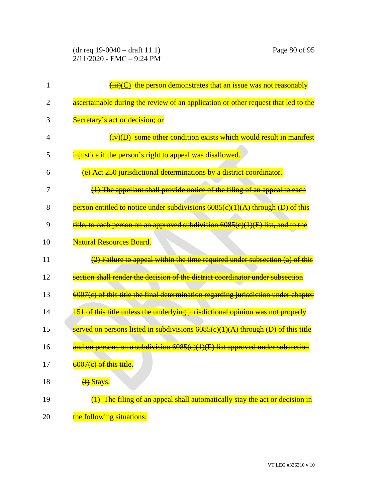(dr req 19-0040 – draft 11.1) Page 80 of 95 2/11/2020 - EMC – 9:24 PM

| 1              | $\overline{(\overline{\text{iii}})(C)}$ the person demonstrates that an issue was not reasonably |
|----------------|--------------------------------------------------------------------------------------------------|
| $\overline{2}$ | ascertainable during the review of an application or other request that led to the               |
| 3              | Secretary's act or decision; or                                                                  |
| 4              | $\overline{(+)}$ (D) some other condition exists which would result in manifest                  |
| 5              | injustice if the person's right to appeal was disallowed.                                        |
| 6              | (e) Act 250 jurisdictional determinations by a district coordinator.                             |
| 7              | $(1)$ The appellant shall provide notice of the filing of an appeal to each                      |
| 8              | person entitled to notice under subdivisions 6085(e)(1)(A) through (D) of this                   |
| 9              | title, to each person on an approved subdivision 6085(e)(1)(E) list, and to the                  |
| 10             | <b>Natural Resources Board.</b>                                                                  |
| 11             | $(2)$ Failure to appeal within the time required under subsection $(a)$ of this                  |
| 12             | section shall render the decision of the district coordinator under subsection                   |
| 13             | 6007(e) of this title the final determination regarding jurisdiction under chapter               |
| 14             | 151 of this title unless the underlying jurisdictional opinion was not properly                  |
| 15             | served on persons listed in subdivisions $6085(c)(1)(A)$ through (D) of this title               |
| 16             | and on persons on a subdivision 6085(c)(1)(E) list approved under subsection                     |
| 17             | 6007(e) of this title.                                                                           |
| 18             | (f) Stays.                                                                                       |
| 19             | (1) The filing of an appeal shall automatically stay the act or decision in                      |
| 20             | the following situations:                                                                        |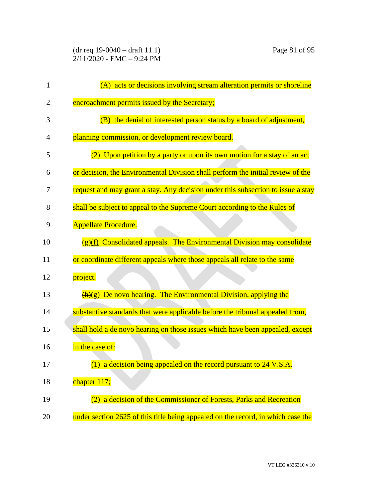| $\mathbf{1}$ | (A) acts or decisions involving stream alteration permits or shoreline                   |
|--------------|------------------------------------------------------------------------------------------|
| 2            | encroachment permits issued by the Secretary;                                            |
| 3            | (B) the denial of interested person status by a board of adjustment,                     |
| 4            | planning commission, or development review board.                                        |
| 5            | (2) Upon petition by a party or upon its own motion for a stay of an act                 |
| 6            | or decision, the Environmental Division shall perform the initial review of the          |
| 7            | request and may grant a stay. Any decision under this subsection to issue a stay         |
| 8            | shall be subject to appeal to the Supreme Court according to the Rules of                |
| 9            | <b>Appellate Procedure.</b>                                                              |
| 10           | $\frac{1}{\sqrt{g}}(f)$ Consolidated appeals. The Environmental Division may consolidate |
| 11           | or coordinate different appeals where those appeals all relate to the same               |
| 12           | project.                                                                                 |
| 13           | $\frac{h(x)}{h(x)}$ De novo hearing. The Environmental Division, applying the            |
| 14           | substantive standards that were applicable before the tribunal appealed from,            |
| 15           | shall hold a de novo hearing on those issues which have been appealed, except            |
| 16           | in the case of:                                                                          |
| 17           | (1) a decision being appealed on the record pursuant to 24 V.S.A.                        |
| 18           | chapter 117;                                                                             |
| 19           | (2) a decision of the Commissioner of Forests, Parks and Recreation                      |
| 20           | under section 2625 of this title being appealed on the record, in which case the         |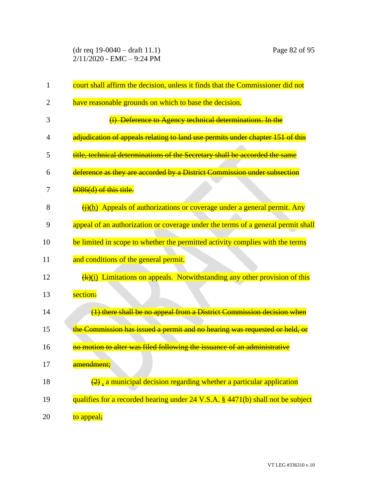(dr req 19-0040 – draft 11.1) Page 82 of 95 2/11/2020 - EMC – 9:24 PM

| 1              | court shall affirm the decision, unless it finds that the Commissioner did not               |
|----------------|----------------------------------------------------------------------------------------------|
| 2              | have reasonable grounds on which to base the decision.                                       |
| 3              | (i) Deference to Agency technical determinations. In the                                     |
| $\overline{4}$ | adjudication of appeals relating to land use permits under chapter 151 of this               |
| 5              | title, technical determinations of the Secretary shall be accorded the same                  |
| 6              | deference as they are accorded by a District Commission under subsection                     |
| 7              | 6086(d) of this title.                                                                       |
| 8              | $\overline{(+)}$ (h) Appeals of authorizations or coverage under a general permit. Any       |
| 9              | appeal of an authorization or coverage under the terms of a general permit shall             |
| 10             | be limited in scope to whether the permitted activity complies with the terms                |
| 11             | and conditions of the general permit.                                                        |
| 12             | $\frac{f(k)(i)}{k}$ Limitations on appeals. Notwithstanding any other provision of this      |
| 13             | section:                                                                                     |
| 14             | (1) there shall be no appeal from a District Commission decision when                        |
| 15             | the Commission has issued a permit and no hearing was requested or held, or                  |
| 16             | no motion to alter was filed following the issuance of an administrative                     |
| 17             | <del>amendment;</del>                                                                        |
| 18             | $\left(\frac{2}{2}\right)$ , a municipal decision regarding whether a particular application |
| 19             | qualifies for a recorded hearing under 24 V.S.A. § 4471(b) shall not be subject              |
| 20             | to appeal;                                                                                   |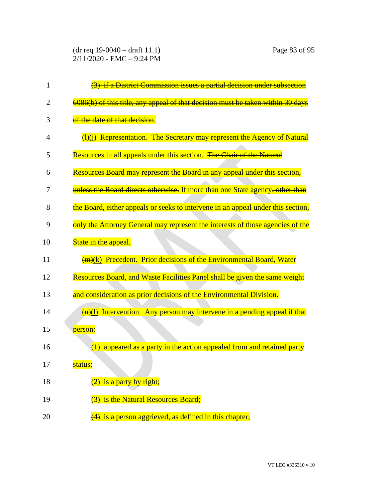(dr req 19-0040 – draft 11.1) Page 83 of 95 2/11/2020 - EMC – 9:24 PM

| 1  | (3) if a District Commission issues a partial decision under subsection                |
|----|----------------------------------------------------------------------------------------|
| 2  | 6086(b) of this title, any appeal of that decision must be taken within 30 days        |
| 3  | of the date of that decision.                                                          |
| 4  | $\frac{H(x)}{H(x)}$ Representation. The Secretary may represent the Agency of Natural  |
| 5  | Resources in all appeals under this section. The Chair of the Natural                  |
| 6  | Resources Board may represent the Board in any appeal under this section,              |
| 7  | unless the Board directs otherwise. If more than one State agency, other than          |
| 8  | the Board, either appeals or seeks to intervene in an appeal under this section,       |
| 9  | only the Attorney General may represent the interests of those agencies of the         |
| 10 | State in the appeal.                                                                   |
| 11 | $\frac{m(x)}{m(x)}$ Precedent. Prior decisions of the Environmental Board, Water       |
| 12 | Resources Board, and Waste Facilities Panel shall be given the same weight             |
| 13 | and consideration as prior decisions of the Environmental Division.                    |
| 14 | $\frac{f(n)(1)}{n}$ Intervention. Any person may intervene in a pending appeal if that |
| 15 | person:                                                                                |
| 16 | appeared as a party in the action appealed from and retained party<br>(1)              |
| 17 | status;                                                                                |
| 18 | is a party by right;                                                                   |
| 19 | (3) is the Natural Resources Board;                                                    |
| 20 | $\left(4\right)$ is a person aggrieved, as defined in this chapter;                    |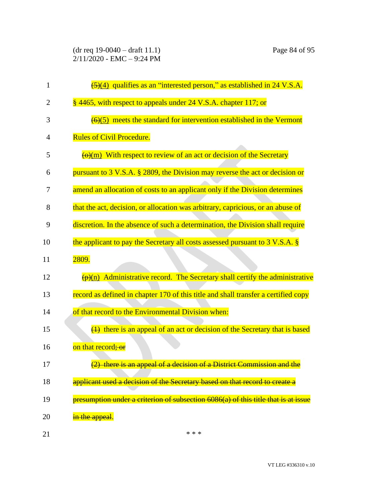(dr req 19-0040 – draft 11.1) Page 84 of 95 2/11/2020 - EMC – 9:24 PM

| $\mathbf{1}$ | $\frac{5(4)}{2}$ qualifies as an "interested person," as established in 24 V.S.A.                               |
|--------------|-----------------------------------------------------------------------------------------------------------------|
| 2            | § 4465, with respect to appeals under 24 V.S.A. chapter 117; or                                                 |
| 3            | $\left(\frac{6}{6}\right)$ meets the standard for intervention established in the Vermont                       |
| 4            | <b>Rules of Civil Procedure.</b>                                                                                |
| 5            | $\frac{1}{2}$ ( $\frac{1}{2}$ ) With respect to review of an act or decision of the Secretary                   |
| 6            | pursuant to 3 V.S.A. § 2809, the Division may reverse the act or decision or                                    |
| 7            | amend an allocation of costs to an applicant only if the Division determines                                    |
| 8            | that the act, decision, or allocation was arbitrary, capricious, or an abuse of                                 |
| 9            | discretion. In the absence of such a determination, the Division shall require                                  |
| 10           | the applicant to pay the Secretary all costs assessed pursuant to 3 V.S.A. §                                    |
| 11           | 2809.                                                                                                           |
| 12           | $\frac{(\mathbf{p})(n)}{(\mathbf{p})(n)}$ Administrative record. The Secretary shall certify the administrative |
| 13           | record as defined in chapter 170 of this title and shall transfer a certified copy                              |
| 14           | of that record to the Environmental Division when:                                                              |
| 15           | $\overline{(4)}$ there is an appeal of an act or decision of the Secretary that is based                        |
| 16           | on that record; or                                                                                              |
| 17           | (2) there is an appeal of a decision of a District Commission and the                                           |
| 18           | applicant used a decision of the Secretary based on that record to create a                                     |
| 19           | presumption under a criterion of subsection 6086(a) of this title that is at issue                              |
| 20           | in the appeal.                                                                                                  |
| 21           | * * *                                                                                                           |

VT LEG #336310 v.10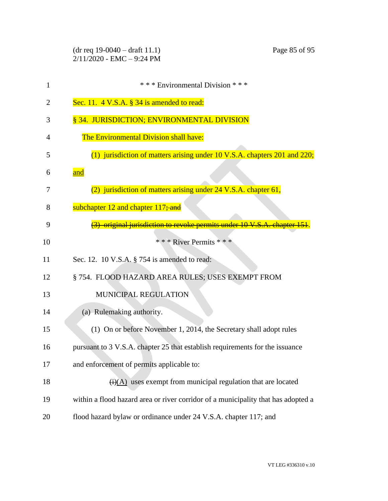|    | $(dr \text{ req } 19-0040 - draft 11.1)$<br>Page 85 of 95<br>$2/11/2020$ - EMC - 9:24 PM |
|----|------------------------------------------------------------------------------------------|
| 1  | *** Environmental Division ***                                                           |
| 2  | Sec. 11. $4$ V.S.A. $\S$ 34 is amended to read:                                          |
| 3  | § 34. JURISDICTION; ENVIRONMENTAL DIVISION                                               |
| 4  | The Environmental Division shall have:                                                   |
| 5  | (1) jurisdiction of matters arising under 10 V.S.A. chapters 201 and 220;                |
| 6  | and                                                                                      |
| 7  | (2) jurisdiction of matters arising under 24 V.S.A. chapter 61,                          |
| 8  | subchapter 12 and chapter 117; and                                                       |
| 9  | original jurisdiction to revoke permits under 10 V.S.A. chapter 151.                     |
| 10 | * * * River Permits * * *                                                                |
| 11 | Sec. 12. 10 V.S.A. § 754 is amended to read:                                             |
| 12 | § 754. FLOOD HAZARD AREA RULES; USES EXEMPT FROM                                         |
| 13 | MUNICIPAL REGULATION                                                                     |
| 14 | (a) Rulemaking authority.                                                                |
| 15 | (1) On or before November 1, 2014, the Secretary shall adopt rules                       |
| 16 | pursuant to 3 V.S.A. chapter 25 that establish requirements for the issuance             |
| 17 | and enforcement of permits applicable to:                                                |
| 18 | $\overline{(i)(A)}$ uses exempt from municipal regulation that are located               |
| 19 | within a flood hazard area or river corridor of a municipality that has adopted a        |
| 20 | flood hazard bylaw or ordinance under 24 V.S.A. chapter 117; and                         |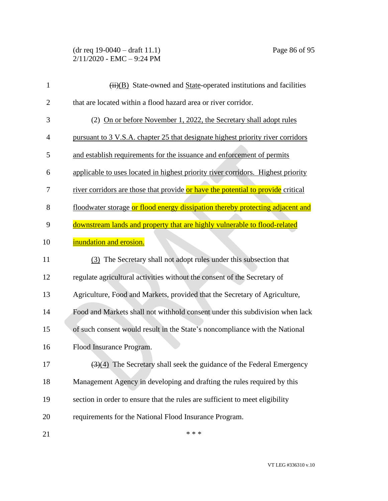(dr req 19-0040 – draft 11.1) Page 86 of 95 2/11/2020 - EMC – 9:24 PM

| $\mathbf{1}$   | (ii)(B) State-owned and State-operated institutions and facilities                        |
|----------------|-------------------------------------------------------------------------------------------|
| $\overline{2}$ | that are located within a flood hazard area or river corridor.                            |
| 3              | (2) On or before November 1, 2022, the Secretary shall adopt rules                        |
| $\overline{4}$ | pursuant to 3 V.S.A. chapter 25 that designate highest priority river corridors           |
| 5              | and establish requirements for the issuance and enforcement of permits                    |
| 6              | applicable to uses located in highest priority river corridors. Highest priority          |
| 7              | river corridors are those that provide or have the potential to provide critical          |
| 8              | floodwater storage or flood energy dissipation thereby protecting adjacent and            |
| 9              | downstream lands and property that are highly vulnerable to flood-related                 |
| 10             | inundation and erosion.                                                                   |
| 11             | (3) The Secretary shall not adopt rules under this subsection that                        |
| 12             | regulate agricultural activities without the consent of the Secretary of                  |
| 13             | Agriculture, Food and Markets, provided that the Secretary of Agriculture,                |
| 14             | Food and Markets shall not withhold consent under this subdivision when lack              |
| 15             | of such consent would result in the State's noncompliance with the National               |
| 16             | Flood Insurance Program.                                                                  |
| 17             | $\left(\frac{3}{4}\right)$ The Secretary shall seek the guidance of the Federal Emergency |
| 18             | Management Agency in developing and drafting the rules required by this                   |
| 19             | section in order to ensure that the rules are sufficient to meet eligibility              |
| 20             | requirements for the National Flood Insurance Program.                                    |
| 21             | * * *                                                                                     |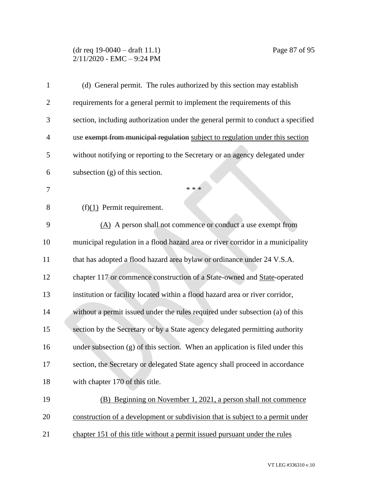## (dr req 19-0040 – draft 11.1) Page 87 of 95 2/11/2020 - EMC – 9:24 PM

| $\mathbf{1}$   | (d) General permit. The rules authorized by this section may establish           |
|----------------|----------------------------------------------------------------------------------|
| $\overline{2}$ | requirements for a general permit to implement the requirements of this          |
| 3              | section, including authorization under the general permit to conduct a specified |
| $\overline{4}$ | use exempt from municipal regulation subject to regulation under this section    |
| 5              | without notifying or reporting to the Secretary or an agency delegated under     |
| 6              | subsection $(g)$ of this section.                                                |
| 7              | * * *                                                                            |
| 8              | $(f)(1)$ Permit requirement.                                                     |
| 9              | (A) A person shall not commence or conduct a use exempt from                     |
| 10             | municipal regulation in a flood hazard area or river corridor in a municipality  |
| 11             | that has adopted a flood hazard area bylaw or ordinance under 24 V.S.A.          |
| 12             | chapter 117 or commence construction of a State-owned and State-operated         |
| 13             | institution or facility located within a flood hazard area or river corridor,    |
| 14             | without a permit issued under the rules required under subsection (a) of this    |
| 15             | section by the Secretary or by a State agency delegated permitting authority     |
| 16             | under subsection (g) of this section. When an application is filed under this    |
| 17             | section, the Secretary or delegated State agency shall proceed in accordance     |
| 18             | with chapter 170 of this title.                                                  |
| 19             | (B) Beginning on November 1, 2021, a person shall not commence                   |
| 20             | construction of a development or subdivision that is subject to a permit under   |
| 21             | chapter 151 of this title without a permit issued pursuant under the rules       |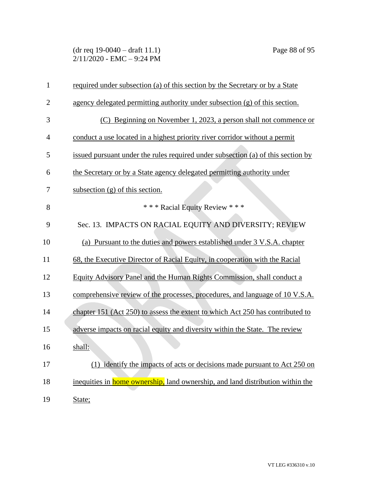(dr req 19-0040 – draft 11.1) Page 88 of 95 2/11/2020 - EMC – 9:24 PM

| $\mathbf{1}$   | required under subsection (a) of this section by the Secretary or by a State           |
|----------------|----------------------------------------------------------------------------------------|
| $\overline{2}$ | agency delegated permitting authority under subsection (g) of this section.            |
| 3              | (C) Beginning on November 1, 2023, a person shall not commence or                      |
| 4              | conduct a use located in a highest priority river corridor without a permit            |
| 5              | issued pursuant under the rules required under subsection (a) of this section by       |
| 6              | the Secretary or by a State agency delegated permitting authority under                |
| 7              | subsection $(g)$ of this section.                                                      |
| 8              | *** Racial Equity Review ***                                                           |
| 9              | Sec. 13. IMPACTS ON RACIAL EQUITY AND DIVERSITY; REVIEW                                |
| 10             | (a) Pursuant to the duties and powers established under 3 V.S.A. chapter               |
| 11             | 68, the Executive Director of Racial Equity, in cooperation with the Racial            |
| 12             | Equity Advisory Panel and the Human Rights Commission, shall conduct a                 |
| 13             | comprehensive review of the processes, procedures, and language of 10 V.S.A.           |
| 14             | chapter 151 (Act 250) to assess the extent to which Act 250 has contributed to         |
| 15             | adverse impacts on racial equity and diversity within the State. The review            |
| 16             | shall:                                                                                 |
| 17             | (1) identify the impacts of acts or decisions made pursuant to Act 250 on              |
| 18             | inequities in <b>home ownership</b> , land ownership, and land distribution within the |
| 19             | State;                                                                                 |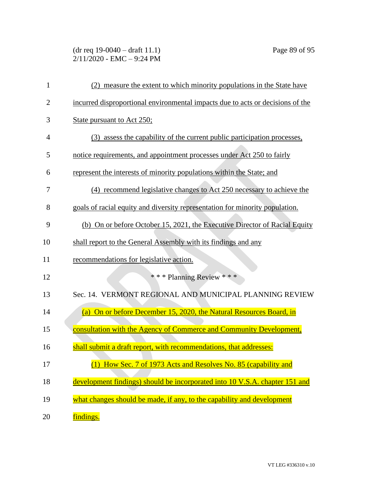## (dr req 19-0040 – draft 11.1) Page 89 of 95 2/11/2020 - EMC – 9:24 PM

| 1              | (2) measure the extent to which minority populations in the State have         |
|----------------|--------------------------------------------------------------------------------|
| $\overline{2}$ | incurred disproportional environmental impacts due to acts or decisions of the |
| 3              | State pursuant to Act 250;                                                     |
| 4              | (3) assess the capability of the current public participation processes,       |
| 5              | notice requirements, and appointment processes under Act 250 to fairly         |
| 6              | represent the interests of minority populations within the State; and          |
| 7              | (4) recommend legislative changes to Act 250 necessary to achieve the          |
| 8              | goals of racial equity and diversity representation for minority population.   |
| 9              | (b) On or before October 15, 2021, the Executive Director of Racial Equity     |
| 10             | shall report to the General Assembly with its findings and any                 |
| 11             | recommendations for legislative action.                                        |
| 12             | *** Planning Review ***                                                        |
| 13             | Sec. 14. VERMONT REGIONAL AND MUNICIPAL PLANNING REVIEW                        |
| 14             | (a) On or before December 15, 2020, the Natural Resources Board, in            |
| 15             | consultation with the Agency of Commerce and Community Development,            |
| 16             | shall submit a draft report, with recommendations, that addresses:             |
| 17             | (1) How Sec. 7 of 1973 Acts and Resolves No. 85 (capability and                |
| 18             | development findings) should be incorporated into 10 V.S.A. chapter 151 and    |
| 19             | what changes should be made, if any, to the capability and development         |
| 20             | findings.                                                                      |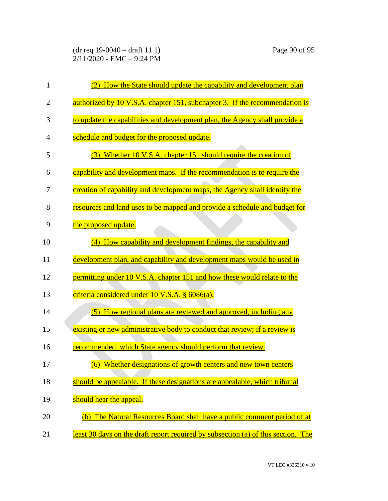(dr req 19-0040 – draft 11.1) Page 90 of 95 2/11/2020 - EMC – 9:24 PM

| $\mathbf{1}$   | (2) How the State should update the capability and development plan               |
|----------------|-----------------------------------------------------------------------------------|
| $\overline{2}$ | authorized by 10 V.S.A. chapter 151, subchapter 3. If the recommendation is       |
| 3              | to update the capabilities and development plan, the Agency shall provide a       |
| 4              | schedule and budget for the proposed update.                                      |
| 5              | (3) Whether 10 V.S.A. chapter 151 should require the creation of                  |
| 6              | capability and development maps. If the recommendation is to require the          |
| 7              | creation of capability and development maps, the Agency shall identify the        |
| 8              | resources and land uses to be mapped and provide a schedule and budget for        |
| 9              | the proposed update.                                                              |
| 10             | How capability and development findings, the capability and<br>(4)                |
| 11             | development plan, and capability and development maps would be used in            |
| 12             | permitting under 10 V.S.A. chapter 151 and how these would relate to the          |
| 13             | criteria considered under 10 V.S.A. § 6086(a).                                    |
| 14             | (5) How regional plans are reviewed and approved, including any                   |
| 15             | existing or new administrative body to conduct that review; if a review is        |
| 16             | recommended, which State agency should perform that review.                       |
| 17             | (6) Whether designations of growth centers and new town centers                   |
| 18             | should be appealable. If these designations are appealable, which tribunal        |
| 19             | should hear the appeal.                                                           |
| 20             | (b) The Natural Resources Board shall have a public comment period of at          |
| 21             | least 30 days on the draft report required by subsection (a) of this section. The |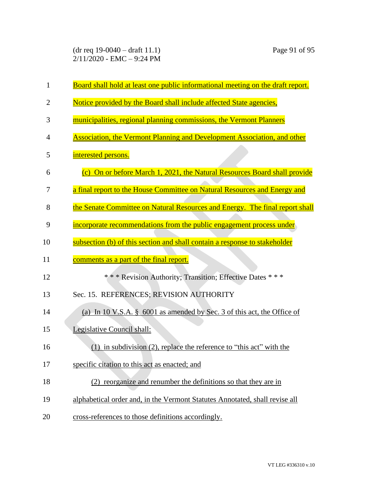(dr req 19-0040 – draft 11.1) Page 91 of 95 2/11/2020 - EMC – 9:24 PM

| $\mathbf{1}$ | Board shall hold at least one public informational meeting on the draft report. |
|--------------|---------------------------------------------------------------------------------|
| 2            | Notice provided by the Board shall include affected State agencies,             |
| 3            | municipalities, regional planning commissions, the Vermont Planners             |
| 4            | <b>Association, the Vermont Planning and Development Association, and other</b> |
| 5            | interested persons.                                                             |
| 6            | (c) On or before March 1, 2021, the Natural Resources Board shall provide       |
| 7            | a final report to the House Committee on Natural Resources and Energy and       |
| 8            | the Senate Committee on Natural Resources and Energy. The final report shall    |
| 9            | incorporate recommendations from the public engagement process under            |
| 10           | subsection (b) of this section and shall contain a response to stakeholder      |
| 11           | comments as a part of the final report.                                         |
| 12           | *** Revision Authority; Transition; Effective Dates ***                         |
| 13           | Sec. 15. REFERENCES; REVISION AUTHORITY                                         |
| 14           | (a) In 10 V.S.A. § 6001 as amended by Sec. 3 of this act, the Office of         |
| 15           | Legislative Council shall:                                                      |
| 16           | $(1)$ in subdivision $(2)$ , replace the reference to "this act" with the       |
| 17           | specific citation to this act as enacted; and                                   |
| 18           | (2) reorganize and renumber the definitions so that they are in                 |
| 19           | alphabetical order and, in the Vermont Statutes Annotated, shall revise all     |
| 20           | cross-references to those definitions accordingly.                              |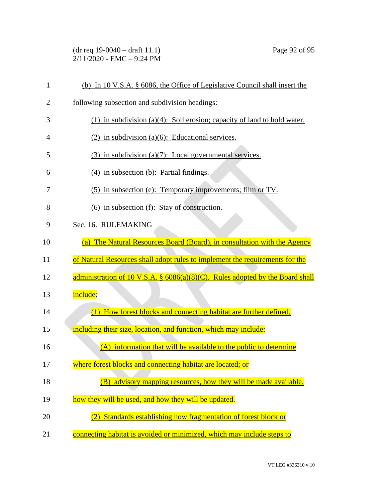(dr req 19-0040 – draft 11.1) Page 92 of 95 2/11/2020 - EMC – 9:24 PM

| $\mathbf{1}$   | (b) In 10 V.S.A. § 6086, the Office of Legislative Council shall insert the      |
|----------------|----------------------------------------------------------------------------------|
| 2              | following subsection and subdivision headings:                                   |
| 3              | (1) in subdivision (a)(4): Soil erosion; capacity of land to hold water.         |
| $\overline{4}$ | $(2)$ in subdivision (a)(6): Educational services.                               |
| 5              | $(3)$ in subdivision (a)(7): Local governmental services.                        |
| 6              | (4) in subsection (b): Partial findings.                                         |
| 7              | (5) in subsection (e): Temporary improvements; film or TV.                       |
| 8              | $(6)$ in subsection $(f)$ : Stay of construction.                                |
| 9              | Sec. 16. RULEMAKING                                                              |
| 10             | (a) The Natural Resources Board (Board), in consultation with the Agency         |
|                |                                                                                  |
| 11             | of Natural Resources shall adopt rules to implement the requirements for the     |
| 12             | administration of 10 V.S.A. $\S$ 6086(a)(8)(C). Rules adopted by the Board shall |
| 13             | include:                                                                         |
| 14             | (1) How forest blocks and connecting habitat are further defined,                |
| 15             | including their size, location, and function, which may include:                 |
| 16             | (A) information that will be available to the public to determine                |
| 17             | where forest blocks and connecting habitat are located; or                       |
| 18             | (B) advisory mapping resources, how they will be made available,                 |
| 19             | how they will be used, and how they will be updated.                             |
| 20             | Standards establishing how fragmentation of forest block or<br>(2)               |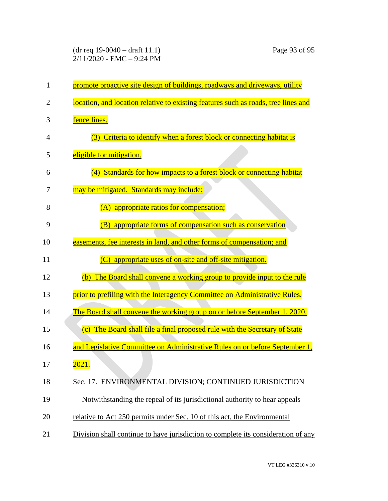(dr req 19-0040 – draft 11.1) Page 93 of 95 2/11/2020 - EMC – 9:24 PM

| $\mathbf{1}$ | promote proactive site design of buildings, roadways and driveways, utility        |
|--------------|------------------------------------------------------------------------------------|
| 2            | location, and location relative to existing features such as roads, tree lines and |
| 3            | fence lines.                                                                       |
| 4            | (3) Criteria to identify when a forest block or connecting habitat is              |
| 5            | eligible for mitigation.                                                           |
| 6            | Standards for how impacts to a forest block or connecting habitat<br>(4)           |
| 7            | may be mitigated. Standards may include:                                           |
| 8            | (A) appropriate ratios for compensation;                                           |
| 9            | appropriate forms of compensation such as conservation<br>(B)                      |
| 10           | easements, fee interests in land, and other forms of compensation; and             |
| 11           | (C) appropriate uses of on-site and off-site mitigation.                           |
| 12           | (b) The Board shall convene a working group to provide input to the rule           |
| 13           | prior to prefiling with the Interagency Committee on Administrative Rules.         |
| 14           | The Board shall convene the working group on or before September 1, 2020.          |
| 15           | (c) The Board shall file a final proposed rule with the Secretary of State         |
| 16           | and Legislative Committee on Administrative Rules on or before September 1,        |
| 17           | <u> 2021.</u>                                                                      |
| 18           | Sec. 17. ENVIRONMENTAL DIVISION; CONTINUED JURISDICTION                            |
| 19           | Notwithstanding the repeal of its jurisdictional authority to hear appeals         |
| 20           | relative to Act 250 permits under Sec. 10 of this act, the Environmental           |
| 21           | Division shall continue to have jurisdiction to complete its consideration of any  |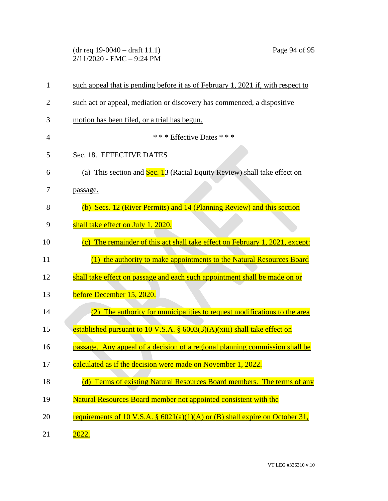| $(dr \text{ req } 19-0040 - draft 11.1)$ |  |
|------------------------------------------|--|
| $2/11/2020$ - EMC $-9:24$ PM             |  |

| $\mathbf{1}$   | such appeal that is pending before it as of February 1, 2021 if, with respect to |
|----------------|----------------------------------------------------------------------------------|
| 2              | such act or appeal, mediation or discovery has commenced, a dispositive          |
| 3              | motion has been filed, or a trial has begun.                                     |
| $\overline{4}$ | *** Effective Dates ***                                                          |
| 5              | Sec. 18. EFFECTIVE DATES                                                         |
| 6              | (a) This section and Sec. 13 (Racial Equity Review) shall take effect on         |
| 7              | passage.                                                                         |
| 8              | (b) Secs. 12 (River Permits) and 14 (Planning Review) and this section           |
| 9              | shall take effect on July 1, 2020.                                               |
| 10             | (c) The remainder of this act shall take effect on February 1, 2021, except:     |
| 11             | (1) the authority to make appointments to the Natural Resources Board            |
| 12             | shall take effect on passage and each such appointment shall be made on or       |
| 13             | before December 15, 2020.                                                        |
| 14             | (2) The authority for municipalities to request modifications to the area        |
| 15             | established pursuant to 10 V.S.A. $\S$ 6003(3)(A)(xiii) shall take effect on     |
| 16             | passage. Any appeal of a decision of a regional planning commission shall be     |
| 17             | calculated as if the decision were made on November 1, 2022.                     |
| 18             | (d) Terms of existing Natural Resources Board members. The terms of any          |
| 19             | Natural Resources Board member not appointed consistent with the                 |
| 20             | requirements of 10 V.S.A. § $6021(a)(1)(A)$ or (B) shall expire on October 31,   |
| 21             | 2022.                                                                            |